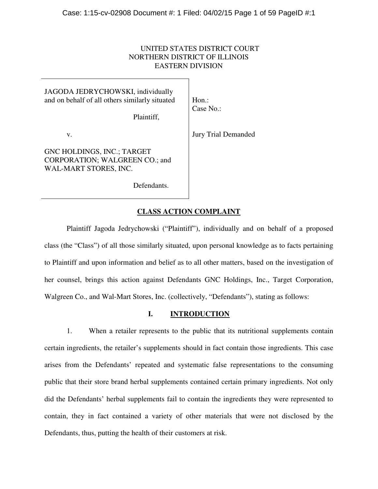# UNITED STATES DISTRICT COURT NORTHERN DISTRICT OF ILLINOIS EASTERN DIVISION

JAGODA JEDRYCHOWSKI, individually and on behalf of all others similarly situated

Plaintiff,

v.

GNC HOLDINGS, INC.; TARGET CORPORATION; WALGREEN CO.; and WAL-MART STORES, INC.

Hon.: Case No.:

Jury Trial Demanded

Defendants.

## **CLASS ACTION COMPLAINT**

 Plaintiff Jagoda Jedrychowski ("Plaintiff"), individually and on behalf of a proposed class (the "Class") of all those similarly situated, upon personal knowledge as to facts pertaining to Plaintiff and upon information and belief as to all other matters, based on the investigation of her counsel, brings this action against Defendants GNC Holdings, Inc., Target Corporation, Walgreen Co., and Wal-Mart Stores, Inc. (collectively, "Defendants"), stating as follows:

## **I. INTRODUCTION**

1. When a retailer represents to the public that its nutritional supplements contain certain ingredients, the retailer's supplements should in fact contain those ingredients. This case arises from the Defendants' repeated and systematic false representations to the consuming public that their store brand herbal supplements contained certain primary ingredients. Not only did the Defendants' herbal supplements fail to contain the ingredients they were represented to contain, they in fact contained a variety of other materials that were not disclosed by the Defendants, thus, putting the health of their customers at risk.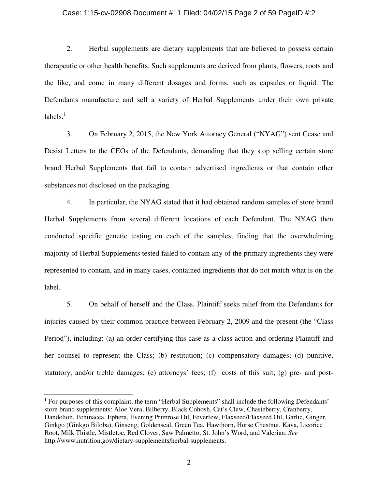### Case: 1:15-cv-02908 Document #: 1 Filed: 04/02/15 Page 2 of 59 PageID #:2

2. Herbal supplements are dietary supplements that are believed to possess certain therapeutic or other health benefits. Such supplements are derived from plants, flowers, roots and the like, and come in many different dosages and forms, such as capsules or liquid. The Defendants manufacture and sell a variety of Herbal Supplements under their own private labels. $^1$ 

3. On February 2, 2015, the New York Attorney General ("NYAG") sent Cease and Desist Letters to the CEOs of the Defendants, demanding that they stop selling certain store brand Herbal Supplements that fail to contain advertised ingredients or that contain other substances not disclosed on the packaging.

4. In particular, the NYAG stated that it had obtained random samples of store brand Herbal Supplements from several different locations of each Defendant. The NYAG then conducted specific genetic testing on each of the samples, finding that the overwhelming majority of Herbal Supplements tested failed to contain any of the primary ingredients they were represented to contain, and in many cases, contained ingredients that do not match what is on the label.

5. On behalf of herself and the Class, Plaintiff seeks relief from the Defendants for injuries caused by their common practice between February 2, 2009 and the present (the "Class Period"), including: (a) an order certifying this case as a class action and ordering Plaintiff and her counsel to represent the Class; (b) restitution; (c) compensatory damages; (d) punitive, statutory, and/or treble damages; (e) attorneys' fees; (f) costs of this suit; (g) pre- and post-

-

<sup>&</sup>lt;sup>1</sup> For purposes of this complaint, the term "Herbal Supplements" shall include the following Defendants' store brand supplements: Aloe Vera, Bilberry, Black Cohosh, Cat's Claw, Chasteberry, Cranberry, Dandelion, Echinacea, Ephera, Evening Primrose Oil, Feverfew, Flaxseed/Flaxseed Oil, Garlic, Ginger, Ginkgo (Ginkgo Biloba), Ginseng, Goldenseal, Green Tea, Hawthorn, Horse Chestnut, Kava, Licorice Root, Milk Thistle, Mistletoe, Red Clover, Saw Palmetto, St. John's Word, and Valerian. *See*  http://www.nutrition.gov/dietary-supplements/herbal-supplements.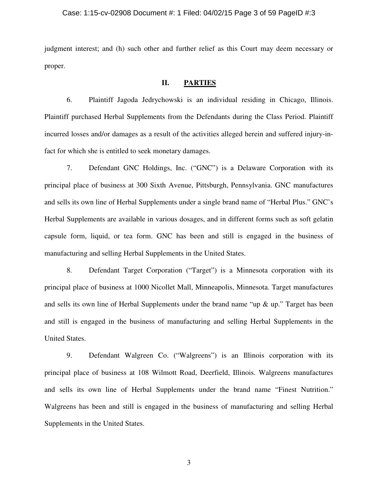### Case: 1:15-cv-02908 Document #: 1 Filed: 04/02/15 Page 3 of 59 PageID #:3

judgment interest; and (h) such other and further relief as this Court may deem necessary or proper.

# **II. PARTIES**

6. Plaintiff Jagoda Jedrychowski is an individual residing in Chicago, Illinois. Plaintiff purchased Herbal Supplements from the Defendants during the Class Period. Plaintiff incurred losses and/or damages as a result of the activities alleged herein and suffered injury-infact for which she is entitled to seek monetary damages.

7. Defendant GNC Holdings, Inc. ("GNC") is a Delaware Corporation with its principal place of business at 300 Sixth Avenue, Pittsburgh, Pennsylvania. GNC manufactures and sells its own line of Herbal Supplements under a single brand name of "Herbal Plus." GNC's Herbal Supplements are available in various dosages, and in different forms such as soft gelatin capsule form, liquid, or tea form. GNC has been and still is engaged in the business of manufacturing and selling Herbal Supplements in the United States.

8. Defendant Target Corporation ("Target") is a Minnesota corporation with its principal place of business at 1000 Nicollet Mall, Minneapolis, Minnesota. Target manufactures and sells its own line of Herbal Supplements under the brand name "up & up." Target has been and still is engaged in the business of manufacturing and selling Herbal Supplements in the United States.

9. Defendant Walgreen Co. ("Walgreens") is an Illinois corporation with its principal place of business at 108 Wilmott Road, Deerfield, Illinois. Walgreens manufactures and sells its own line of Herbal Supplements under the brand name "Finest Nutrition." Walgreens has been and still is engaged in the business of manufacturing and selling Herbal Supplements in the United States.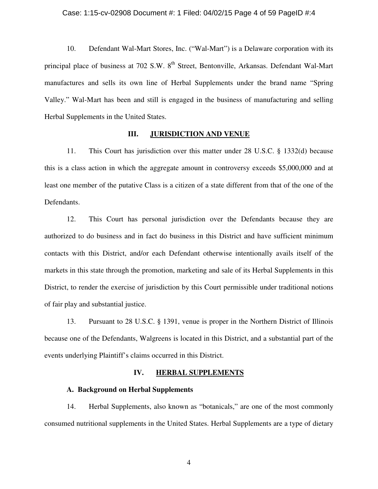### Case: 1:15-cv-02908 Document #: 1 Filed: 04/02/15 Page 4 of 59 PageID #:4

10. Defendant Wal-Mart Stores, Inc. ("Wal-Mart") is a Delaware corporation with its principal place of business at 702 S.W. 8<sup>th</sup> Street, Bentonville, Arkansas. Defendant Wal-Mart manufactures and sells its own line of Herbal Supplements under the brand name "Spring Valley." Wal-Mart has been and still is engaged in the business of manufacturing and selling Herbal Supplements in the United States.

### **III. JURISDICTION AND VENUE**

11. This Court has jurisdiction over this matter under 28 U.S.C. § 1332(d) because this is a class action in which the aggregate amount in controversy exceeds \$5,000,000 and at least one member of the putative Class is a citizen of a state different from that of the one of the Defendants.

12. This Court has personal jurisdiction over the Defendants because they are authorized to do business and in fact do business in this District and have sufficient minimum contacts with this District, and/or each Defendant otherwise intentionally avails itself of the markets in this state through the promotion, marketing and sale of its Herbal Supplements in this District, to render the exercise of jurisdiction by this Court permissible under traditional notions of fair play and substantial justice.

13. Pursuant to 28 U.S.C. § 1391, venue is proper in the Northern District of Illinois because one of the Defendants, Walgreens is located in this District, and a substantial part of the events underlying Plaintiff's claims occurred in this District.

## **IV. HERBAL SUPPLEMENTS**

### **A. Background on Herbal Supplements**

14. Herbal Supplements, also known as "botanicals," are one of the most commonly consumed nutritional supplements in the United States. Herbal Supplements are a type of dietary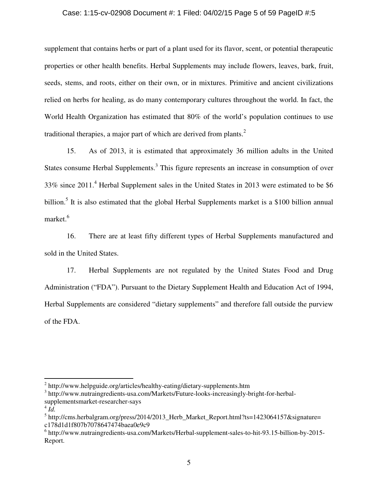### Case: 1:15-cv-02908 Document #: 1 Filed: 04/02/15 Page 5 of 59 PageID #:5

supplement that contains herbs or part of a plant used for its flavor, scent, or potential therapeutic properties or other health benefits. Herbal Supplements may include flowers, leaves, bark, fruit, seeds, stems, and roots, either on their own, or in mixtures. Primitive and ancient civilizations relied on herbs for healing, as do many contemporary cultures throughout the world. In fact, the World Health Organization has estimated that 80% of the world's population continues to use traditional therapies, a major part of which are derived from plants.<sup>2</sup>

15. As of 2013, it is estimated that approximately 36 million adults in the United States consume Herbal Supplements.<sup>3</sup> This figure represents an increase in consumption of over 33% since 2011.<sup>4</sup> Herbal Supplement sales in the United States in 2013 were estimated to be \$6 billion.<sup>5</sup> It is also estimated that the global Herbal Supplements market is a \$100 billion annual market.<sup>6</sup>

16. There are at least fifty different types of Herbal Supplements manufactured and sold in the United States.

17. Herbal Supplements are not regulated by the United States Food and Drug Administration ("FDA"). Pursuant to the Dietary Supplement Health and Education Act of 1994, Herbal Supplements are considered "dietary supplements" and therefore fall outside the purview of the FDA.

<u>.</u>

<sup>&</sup>lt;sup>2</sup> http://www.helpguide.org/articles/healthy-eating/dietary-supplements.htm

<sup>&</sup>lt;sup>3</sup> http://www.nutraingredients-usa.com/Markets/Future-looks-increasingly-bright-for-herbalsupplementsmarket-researcher-says

 $\overline{4}$   $\overline{Id}$ .

<sup>&</sup>lt;sup>5</sup> http://cms.herbalgram.org/press/2014/2013\_Herb\_Market\_Report.html?ts=1423064157&signature= c178d1d1f807b7078647474baea0e9c9

<sup>6</sup> http://www.nutraingredients-usa.com/Markets/Herbal-supplement-sales-to-hit-93.15-billion-by-2015- Report.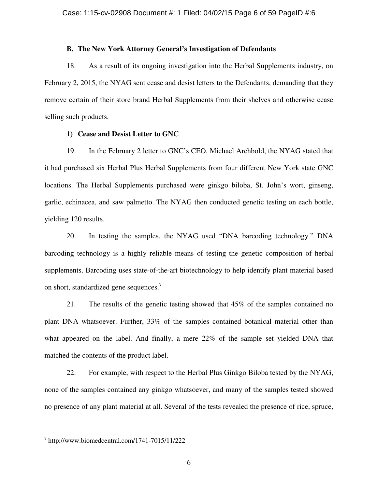### **B. The New York Attorney General's Investigation of Defendants**

18. As a result of its ongoing investigation into the Herbal Supplements industry, on February 2, 2015, the NYAG sent cease and desist letters to the Defendants, demanding that they remove certain of their store brand Herbal Supplements from their shelves and otherwise cease selling such products.

### **1) Cease and Desist Letter to GNC**

19. In the February 2 letter to GNC's CEO, Michael Archbold, the NYAG stated that it had purchased six Herbal Plus Herbal Supplements from four different New York state GNC locations. The Herbal Supplements purchased were ginkgo biloba, St. John's wort, ginseng, garlic, echinacea, and saw palmetto. The NYAG then conducted genetic testing on each bottle, yielding 120 results.

20. In testing the samples, the NYAG used "DNA barcoding technology." DNA barcoding technology is a highly reliable means of testing the genetic composition of herbal supplements. Barcoding uses state-of-the-art biotechnology to help identify plant material based on short, standardized gene sequences.<sup>7</sup>

21. The results of the genetic testing showed that 45% of the samples contained no plant DNA whatsoever. Further, 33% of the samples contained botanical material other than what appeared on the label. And finally, a mere 22% of the sample set yielded DNA that matched the contents of the product label.

22. For example, with respect to the Herbal Plus Ginkgo Biloba tested by the NYAG, none of the samples contained any ginkgo whatsoever, and many of the samples tested showed no presence of any plant material at all. Several of the tests revealed the presence of rice, spruce,

<u>.</u>

 $^7$  http://www.biomedcentral.com/1741-7015/11/222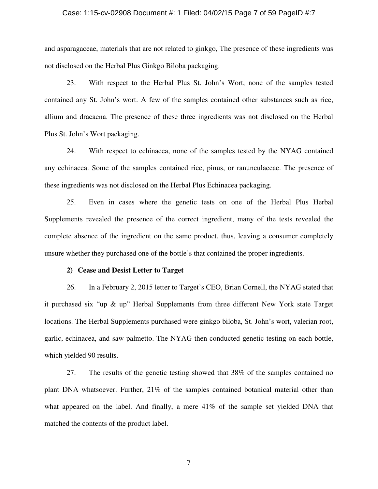#### Case: 1:15-cv-02908 Document #: 1 Filed: 04/02/15 Page 7 of 59 PageID #:7

and asparagaceae, materials that are not related to ginkgo, The presence of these ingredients was not disclosed on the Herbal Plus Ginkgo Biloba packaging.

23. With respect to the Herbal Plus St. John's Wort, none of the samples tested contained any St. John's wort. A few of the samples contained other substances such as rice, allium and dracaena. The presence of these three ingredients was not disclosed on the Herbal Plus St. John's Wort packaging.

24. With respect to echinacea, none of the samples tested by the NYAG contained any echinacea. Some of the samples contained rice, pinus, or ranunculaceae. The presence of these ingredients was not disclosed on the Herbal Plus Echinacea packaging.

25. Even in cases where the genetic tests on one of the Herbal Plus Herbal Supplements revealed the presence of the correct ingredient, many of the tests revealed the complete absence of the ingredient on the same product, thus, leaving a consumer completely unsure whether they purchased one of the bottle's that contained the proper ingredients.

### **2) Cease and Desist Letter to Target**

26. In a February 2, 2015 letter to Target's CEO, Brian Cornell, the NYAG stated that it purchased six "up & up" Herbal Supplements from three different New York state Target locations. The Herbal Supplements purchased were ginkgo biloba, St. John's wort, valerian root, garlic, echinacea, and saw palmetto. The NYAG then conducted genetic testing on each bottle, which yielded 90 results.

27. The results of the genetic testing showed that 38% of the samples contained no plant DNA whatsoever. Further, 21% of the samples contained botanical material other than what appeared on the label. And finally, a mere 41% of the sample set yielded DNA that matched the contents of the product label.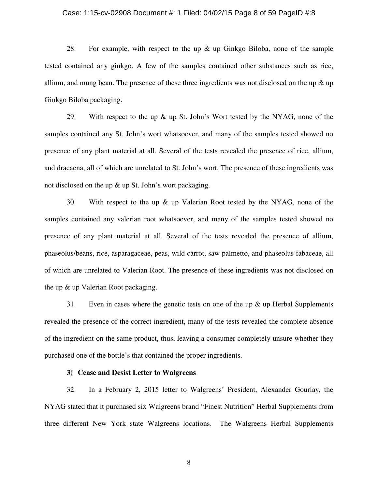### Case: 1:15-cv-02908 Document #: 1 Filed: 04/02/15 Page 8 of 59 PageID #:8

28. For example, with respect to the up  $\&$  up Ginkgo Biloba, none of the sample tested contained any ginkgo. A few of the samples contained other substances such as rice, allium, and mung bean. The presence of these three ingredients was not disclosed on the up  $\&$  up Ginkgo Biloba packaging.

29. With respect to the up & up St. John's Wort tested by the NYAG, none of the samples contained any St. John's wort whatsoever, and many of the samples tested showed no presence of any plant material at all. Several of the tests revealed the presence of rice, allium, and dracaena, all of which are unrelated to St. John's wort. The presence of these ingredients was not disclosed on the up & up St. John's wort packaging.

30. With respect to the up & up Valerian Root tested by the NYAG, none of the samples contained any valerian root whatsoever, and many of the samples tested showed no presence of any plant material at all. Several of the tests revealed the presence of allium, phaseolus/beans, rice, asparagaceae, peas, wild carrot, saw palmetto, and phaseolus fabaceae, all of which are unrelated to Valerian Root. The presence of these ingredients was not disclosed on the up & up Valerian Root packaging.

31. Even in cases where the genetic tests on one of the up  $\&$  up Herbal Supplements revealed the presence of the correct ingredient, many of the tests revealed the complete absence of the ingredient on the same product, thus, leaving a consumer completely unsure whether they purchased one of the bottle's that contained the proper ingredients.

### **3) Cease and Desist Letter to Walgreens**

32. In a February 2, 2015 letter to Walgreens' President, Alexander Gourlay, the NYAG stated that it purchased six Walgreens brand "Finest Nutrition" Herbal Supplements from three different New York state Walgreens locations. The Walgreens Herbal Supplements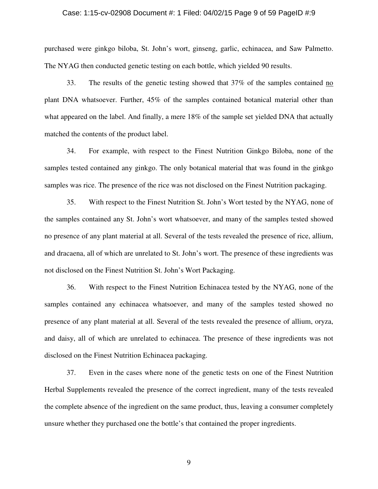### Case: 1:15-cv-02908 Document #: 1 Filed: 04/02/15 Page 9 of 59 PageID #:9

purchased were ginkgo biloba, St. John's wort, ginseng, garlic, echinacea, and Saw Palmetto. The NYAG then conducted genetic testing on each bottle, which yielded 90 results.

33. The results of the genetic testing showed that 37% of the samples contained no plant DNA whatsoever. Further, 45% of the samples contained botanical material other than what appeared on the label. And finally, a mere 18% of the sample set yielded DNA that actually matched the contents of the product label.

34. For example, with respect to the Finest Nutrition Ginkgo Biloba, none of the samples tested contained any ginkgo. The only botanical material that was found in the ginkgo samples was rice. The presence of the rice was not disclosed on the Finest Nutrition packaging.

35. With respect to the Finest Nutrition St. John's Wort tested by the NYAG, none of the samples contained any St. John's wort whatsoever, and many of the samples tested showed no presence of any plant material at all. Several of the tests revealed the presence of rice, allium, and dracaena, all of which are unrelated to St. John's wort. The presence of these ingredients was not disclosed on the Finest Nutrition St. John's Wort Packaging.

36. With respect to the Finest Nutrition Echinacea tested by the NYAG, none of the samples contained any echinacea whatsoever, and many of the samples tested showed no presence of any plant material at all. Several of the tests revealed the presence of allium, oryza, and daisy, all of which are unrelated to echinacea. The presence of these ingredients was not disclosed on the Finest Nutrition Echinacea packaging.

37. Even in the cases where none of the genetic tests on one of the Finest Nutrition Herbal Supplements revealed the presence of the correct ingredient, many of the tests revealed the complete absence of the ingredient on the same product, thus, leaving a consumer completely unsure whether they purchased one the bottle's that contained the proper ingredients.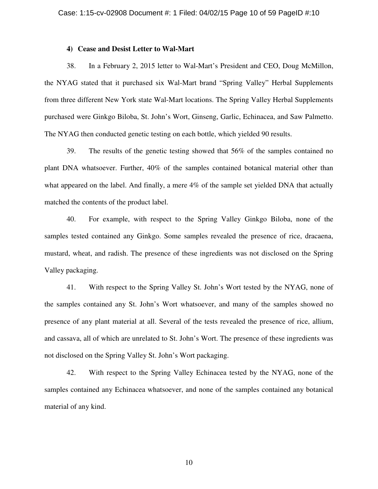### **4) Cease and Desist Letter to Wal-Mart**

38. In a February 2, 2015 letter to Wal-Mart's President and CEO, Doug McMillon, the NYAG stated that it purchased six Wal-Mart brand "Spring Valley" Herbal Supplements from three different New York state Wal-Mart locations. The Spring Valley Herbal Supplements purchased were Ginkgo Biloba, St. John's Wort, Ginseng, Garlic, Echinacea, and Saw Palmetto. The NYAG then conducted genetic testing on each bottle, which yielded 90 results.

39. The results of the genetic testing showed that 56% of the samples contained no plant DNA whatsoever. Further, 40% of the samples contained botanical material other than what appeared on the label. And finally, a mere 4% of the sample set yielded DNA that actually matched the contents of the product label.

40. For example, with respect to the Spring Valley Ginkgo Biloba, none of the samples tested contained any Ginkgo. Some samples revealed the presence of rice, dracaena, mustard, wheat, and radish. The presence of these ingredients was not disclosed on the Spring Valley packaging.

41. With respect to the Spring Valley St. John's Wort tested by the NYAG, none of the samples contained any St. John's Wort whatsoever, and many of the samples showed no presence of any plant material at all. Several of the tests revealed the presence of rice, allium, and cassava, all of which are unrelated to St. John's Wort. The presence of these ingredients was not disclosed on the Spring Valley St. John's Wort packaging.

42. With respect to the Spring Valley Echinacea tested by the NYAG, none of the samples contained any Echinacea whatsoever, and none of the samples contained any botanical material of any kind.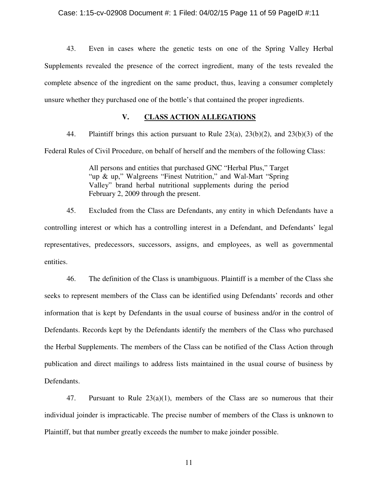43. Even in cases where the genetic tests on one of the Spring Valley Herbal Supplements revealed the presence of the correct ingredient, many of the tests revealed the complete absence of the ingredient on the same product, thus, leaving a consumer completely unsure whether they purchased one of the bottle's that contained the proper ingredients.

## **V. CLASS ACTION ALLEGATIONS**

44. Plaintiff brings this action pursuant to Rule 23(a), 23(b)(2), and 23(b)(3) of the Federal Rules of Civil Procedure, on behalf of herself and the members of the following Class:

> All persons and entities that purchased GNC "Herbal Plus," Target "up & up," Walgreens "Finest Nutrition," and Wal-Mart "Spring Valley" brand herbal nutritional supplements during the period February 2, 2009 through the present.

45. Excluded from the Class are Defendants, any entity in which Defendants have a controlling interest or which has a controlling interest in a Defendant, and Defendants' legal representatives, predecessors, successors, assigns, and employees, as well as governmental entities.

46. The definition of the Class is unambiguous. Plaintiff is a member of the Class she seeks to represent members of the Class can be identified using Defendants' records and other information that is kept by Defendants in the usual course of business and/or in the control of Defendants. Records kept by the Defendants identify the members of the Class who purchased the Herbal Supplements. The members of the Class can be notified of the Class Action through publication and direct mailings to address lists maintained in the usual course of business by Defendants.

47. Pursuant to Rule  $23(a)(1)$ , members of the Class are so numerous that their individual joinder is impracticable. The precise number of members of the Class is unknown to Plaintiff, but that number greatly exceeds the number to make joinder possible.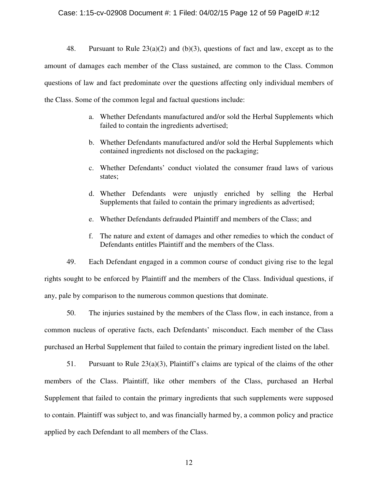### Case: 1:15-cv-02908 Document #: 1 Filed: 04/02/15 Page 12 of 59 PageID #:12

48. Pursuant to Rule 23(a)(2) and (b)(3), questions of fact and law, except as to the amount of damages each member of the Class sustained, are common to the Class. Common questions of law and fact predominate over the questions affecting only individual members of the Class. Some of the common legal and factual questions include:

- a. Whether Defendants manufactured and/or sold the Herbal Supplements which failed to contain the ingredients advertised;
- b. Whether Defendants manufactured and/or sold the Herbal Supplements which contained ingredients not disclosed on the packaging;
- c. Whether Defendants' conduct violated the consumer fraud laws of various states;
- d. Whether Defendants were unjustly enriched by selling the Herbal Supplements that failed to contain the primary ingredients as advertised;
- e. Whether Defendants defrauded Plaintiff and members of the Class; and
- f. The nature and extent of damages and other remedies to which the conduct of Defendants entitles Plaintiff and the members of the Class.

49. Each Defendant engaged in a common course of conduct giving rise to the legal rights sought to be enforced by Plaintiff and the members of the Class. Individual questions, if any, pale by comparison to the numerous common questions that dominate.

50. The injuries sustained by the members of the Class flow, in each instance, from a common nucleus of operative facts, each Defendants' misconduct. Each member of the Class purchased an Herbal Supplement that failed to contain the primary ingredient listed on the label.

51. Pursuant to Rule  $23(a)(3)$ , Plaintiff's claims are typical of the claims of the other members of the Class. Plaintiff, like other members of the Class, purchased an Herbal Supplement that failed to contain the primary ingredients that such supplements were supposed to contain. Plaintiff was subject to, and was financially harmed by, a common policy and practice applied by each Defendant to all members of the Class.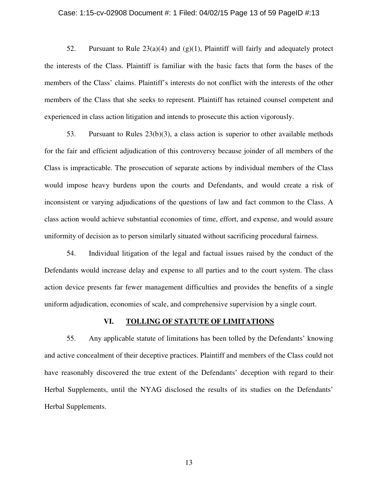#### Case: 1:15-cv-02908 Document #: 1 Filed: 04/02/15 Page 13 of 59 PageID #:13

52. Pursuant to Rule  $23(a)(4)$  and  $(g)(1)$ , Plaintiff will fairly and adequately protect the interests of the Class. Plaintiff is familiar with the basic facts that form the bases of the members of the Class' claims. Plaintiff's interests do not conflict with the interests of the other members of the Class that she seeks to represent. Plaintiff has retained counsel competent and experienced in class action litigation and intends to prosecute this action vigorously.

53. Pursuant to Rules 23(b)(3), a class action is superior to other available methods for the fair and efficient adjudication of this controversy because joinder of all members of the Class is impracticable. The prosecution of separate actions by individual members of the Class would impose heavy burdens upon the courts and Defendants, and would create a risk of inconsistent or varying adjudications of the questions of law and fact common to the Class. A class action would achieve substantial economies of time, effort, and expense, and would assure uniformity of decision as to person similarly situated without sacrificing procedural fairness.

54. Individual litigation of the legal and factual issues raised by the conduct of the Defendants would increase delay and expense to all parties and to the court system. The class action device presents far fewer management difficulties and provides the benefits of a single uniform adjudication, economies of scale, and comprehensive supervision by a single court.

### **VI. TOLLING OF STATUTE OF LIMITATIONS**

55. Any applicable statute of limitations has been tolled by the Defendants' knowing and active concealment of their deceptive practices. Plaintiff and members of the Class could not have reasonably discovered the true extent of the Defendants' deception with regard to their Herbal Supplements, until the NYAG disclosed the results of its studies on the Defendants' Herbal Supplements.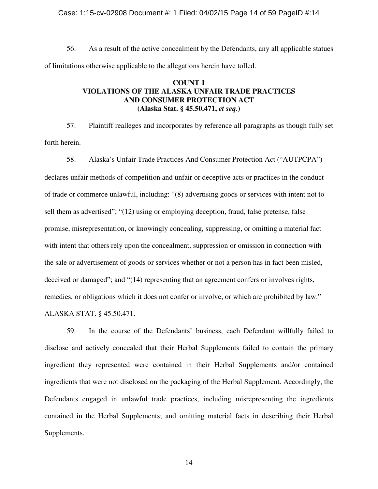### Case: 1:15-cv-02908 Document #: 1 Filed: 04/02/15 Page 14 of 59 PageID #:14

56. As a result of the active concealment by the Defendants, any all applicable statues of limitations otherwise applicable to the allegations herein have tolled.

# **COUNT 1 VIOLATIONS OF THE ALASKA UNFAIR TRADE PRACTICES AND CONSUMER PROTECTION ACT (Alaska Stat. § 45.50.471,** *et seq.***)**

57. Plaintiff realleges and incorporates by reference all paragraphs as though fully set forth herein.

58. Alaska's Unfair Trade Practices And Consumer Protection Act ("AUTPCPA") declares unfair methods of competition and unfair or deceptive acts or practices in the conduct of trade or commerce unlawful, including: "(8) advertising goods or services with intent not to sell them as advertised"; "(12) using or employing deception, fraud, false pretense, false promise, misrepresentation, or knowingly concealing, suppressing, or omitting a material fact with intent that others rely upon the concealment, suppression or omission in connection with the sale or advertisement of goods or services whether or not a person has in fact been misled, deceived or damaged"; and "(14) representing that an agreement confers or involves rights, remedies, or obligations which it does not confer or involve, or which are prohibited by law." ALASKA STAT. § 45.50.471.

59. In the course of the Defendants' business, each Defendant willfully failed to disclose and actively concealed that their Herbal Supplements failed to contain the primary ingredient they represented were contained in their Herbal Supplements and/or contained ingredients that were not disclosed on the packaging of the Herbal Supplement. Accordingly, the Defendants engaged in unlawful trade practices, including misrepresenting the ingredients contained in the Herbal Supplements; and omitting material facts in describing their Herbal Supplements.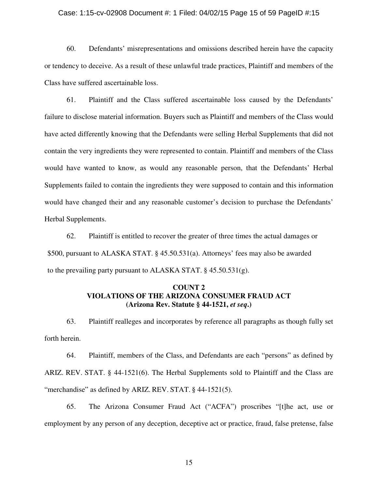#### Case: 1:15-cv-02908 Document #: 1 Filed: 04/02/15 Page 15 of 59 PageID #:15

60. Defendants' misrepresentations and omissions described herein have the capacity or tendency to deceive. As a result of these unlawful trade practices, Plaintiff and members of the Class have suffered ascertainable loss.

61. Plaintiff and the Class suffered ascertainable loss caused by the Defendants' failure to disclose material information. Buyers such as Plaintiff and members of the Class would have acted differently knowing that the Defendants were selling Herbal Supplements that did not contain the very ingredients they were represented to contain. Plaintiff and members of the Class would have wanted to know, as would any reasonable person, that the Defendants' Herbal Supplements failed to contain the ingredients they were supposed to contain and this information would have changed their and any reasonable customer's decision to purchase the Defendants' Herbal Supplements.

62. Plaintiff is entitled to recover the greater of three times the actual damages or \$500, pursuant to ALASKA STAT. § 45.50.531(a). Attorneys' fees may also be awarded to the prevailing party pursuant to ALASKA STAT. § 45.50.531(g).

# **COUNT 2 VIOLATIONS OF THE ARIZONA CONSUMER FRAUD ACT (Arizona Rev. Statute § 44-1521,** *et seq***.)**

63. Plaintiff realleges and incorporates by reference all paragraphs as though fully set forth herein.

64. Plaintiff, members of the Class, and Defendants are each "persons" as defined by ARIZ. REV. STAT. § 44-1521(6). The Herbal Supplements sold to Plaintiff and the Class are "merchandise" as defined by ARIZ. REV. STAT. § 44-1521(5).

65. The Arizona Consumer Fraud Act ("ACFA") proscribes "[t]he act, use or employment by any person of any deception, deceptive act or practice, fraud, false pretense, false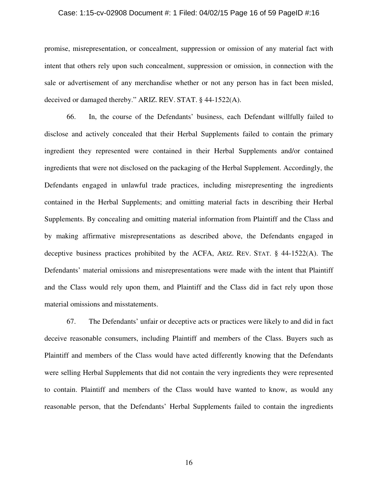#### Case: 1:15-cv-02908 Document #: 1 Filed: 04/02/15 Page 16 of 59 PageID #:16

promise, misrepresentation, or concealment, suppression or omission of any material fact with intent that others rely upon such concealment, suppression or omission, in connection with the sale or advertisement of any merchandise whether or not any person has in fact been misled, deceived or damaged thereby." ARIZ. REV. STAT. § 44-1522(A).

66. In, the course of the Defendants' business, each Defendant willfully failed to disclose and actively concealed that their Herbal Supplements failed to contain the primary ingredient they represented were contained in their Herbal Supplements and/or contained ingredients that were not disclosed on the packaging of the Herbal Supplement. Accordingly, the Defendants engaged in unlawful trade practices, including misrepresenting the ingredients contained in the Herbal Supplements; and omitting material facts in describing their Herbal Supplements. By concealing and omitting material information from Plaintiff and the Class and by making affirmative misrepresentations as described above, the Defendants engaged in deceptive business practices prohibited by the ACFA, ARIZ. REV. STAT. § 44-1522(A). The Defendants' material omissions and misrepresentations were made with the intent that Plaintiff and the Class would rely upon them, and Plaintiff and the Class did in fact rely upon those material omissions and misstatements.

67. The Defendants' unfair or deceptive acts or practices were likely to and did in fact deceive reasonable consumers, including Plaintiff and members of the Class. Buyers such as Plaintiff and members of the Class would have acted differently knowing that the Defendants were selling Herbal Supplements that did not contain the very ingredients they were represented to contain. Plaintiff and members of the Class would have wanted to know, as would any reasonable person, that the Defendants' Herbal Supplements failed to contain the ingredients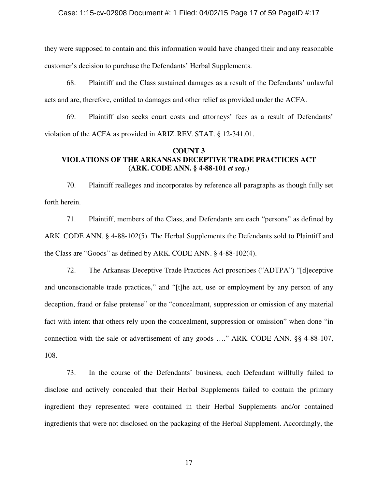### Case: 1:15-cv-02908 Document #: 1 Filed: 04/02/15 Page 17 of 59 PageID #:17

they were supposed to contain and this information would have changed their and any reasonable customer's decision to purchase the Defendants' Herbal Supplements.

68. Plaintiff and the Class sustained damages as a result of the Defendants' unlawful acts and are, therefore, entitled to damages and other relief as provided under the ACFA.

69. Plaintiff also seeks court costs and attorneys' fees as a result of Defendants' violation of the ACFA as provided in ARIZ.REV. STAT. § 12-341.01.

### **COUNT 3 VIOLATIONS OF THE ARKANSAS DECEPTIVE TRADE PRACTICES ACT (ARK. CODE ANN. § 4-88-101** *et seq***.)**

70. Plaintiff realleges and incorporates by reference all paragraphs as though fully set forth herein.

71. Plaintiff, members of the Class, and Defendants are each "persons" as defined by ARK. CODE ANN. § 4-88-102(5). The Herbal Supplements the Defendants sold to Plaintiff and the Class are "Goods" as defined by ARK. CODE ANN. § 4-88-102(4).

72. The Arkansas Deceptive Trade Practices Act proscribes ("ADTPA") "[d]eceptive and unconscionable trade practices," and "[t]he act, use or employment by any person of any deception, fraud or false pretense" or the "concealment, suppression or omission of any material fact with intent that others rely upon the concealment, suppression or omission" when done "in connection with the sale or advertisement of any goods …." ARK. CODE ANN. §§ 4-88-107, 108.

73. In the course of the Defendants' business, each Defendant willfully failed to disclose and actively concealed that their Herbal Supplements failed to contain the primary ingredient they represented were contained in their Herbal Supplements and/or contained ingredients that were not disclosed on the packaging of the Herbal Supplement. Accordingly, the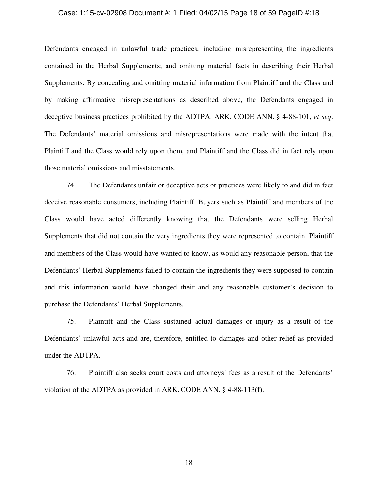#### Case: 1:15-cv-02908 Document #: 1 Filed: 04/02/15 Page 18 of 59 PageID #:18

Defendants engaged in unlawful trade practices, including misrepresenting the ingredients contained in the Herbal Supplements; and omitting material facts in describing their Herbal Supplements. By concealing and omitting material information from Plaintiff and the Class and by making affirmative misrepresentations as described above, the Defendants engaged in deceptive business practices prohibited by the ADTPA, ARK. CODE ANN. § 4-88-101, *et seq*. The Defendants' material omissions and misrepresentations were made with the intent that Plaintiff and the Class would rely upon them, and Plaintiff and the Class did in fact rely upon those material omissions and misstatements.

74. The Defendants unfair or deceptive acts or practices were likely to and did in fact deceive reasonable consumers, including Plaintiff. Buyers such as Plaintiff and members of the Class would have acted differently knowing that the Defendants were selling Herbal Supplements that did not contain the very ingredients they were represented to contain. Plaintiff and members of the Class would have wanted to know, as would any reasonable person, that the Defendants' Herbal Supplements failed to contain the ingredients they were supposed to contain and this information would have changed their and any reasonable customer's decision to purchase the Defendants' Herbal Supplements.

75. Plaintiff and the Class sustained actual damages or injury as a result of the Defendants' unlawful acts and are, therefore, entitled to damages and other relief as provided under the ADTPA.

76. Plaintiff also seeks court costs and attorneys' fees as a result of the Defendants' violation of the ADTPA as provided in ARK. CODE ANN. § 4-88-113(f).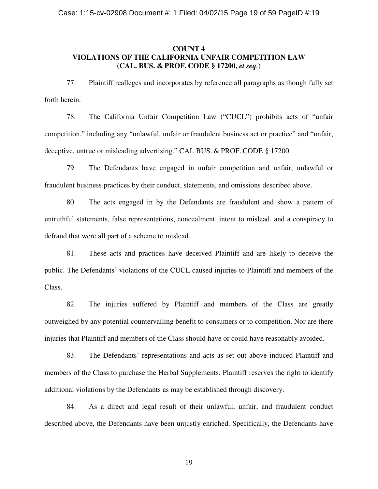## **COUNT 4 VIOLATIONS OF THE CALIFORNIA UNFAIR COMPETITION LAW (CAL. BUS. & PROF. CODE § 17200,** *et seq.*)

77. Plaintiff realleges and incorporates by reference all paragraphs as though fully set forth herein.

78. The California Unfair Competition Law ("CUCL") prohibits acts of "unfair competition," including any "unlawful, unfair or fraudulent business act or practice" and "unfair, deceptive, untrue or misleading advertising." CAL BUS. & PROF. CODE § 17200.

79. The Defendants have engaged in unfair competition and unfair, unlawful or fraudulent business practices by their conduct, statements, and omissions described above.

80. The acts engaged in by the Defendants are fraudulent and show a pattern of untruthful statements, false representations, concealment, intent to mislead, and a conspiracy to defraud that were all part of a scheme to mislead.

81. These acts and practices have deceived Plaintiff and are likely to deceive the public. The Defendants' violations of the CUCL caused injuries to Plaintiff and members of the Class.

82. The injuries suffered by Plaintiff and members of the Class are greatly outweighed by any potential countervailing benefit to consumers or to competition. Nor are there injuries that Plaintiff and members of the Class should have or could have reasonably avoided.

83. The Defendants' representations and acts as set out above induced Plaintiff and members of the Class to purchase the Herbal Supplements. Plaintiff reserves the right to identify additional violations by the Defendants as may be established through discovery.

84. As a direct and legal result of their unlawful, unfair, and fraudulent conduct described above, the Defendants have been unjustly enriched. Specifically, the Defendants have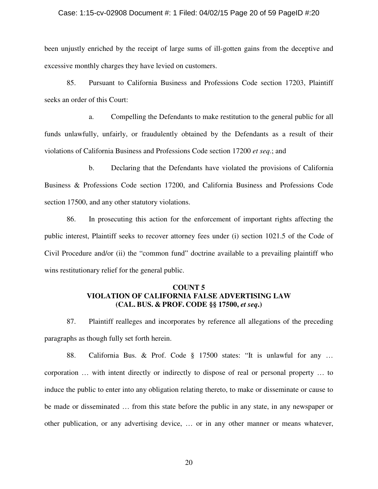### Case: 1:15-cv-02908 Document #: 1 Filed: 04/02/15 Page 20 of 59 PageID #:20

been unjustly enriched by the receipt of large sums of ill-gotten gains from the deceptive and excessive monthly charges they have levied on customers.

85. Pursuant to California Business and Professions Code section 17203, Plaintiff seeks an order of this Court:

a. Compelling the Defendants to make restitution to the general public for all funds unlawfully, unfairly, or fraudulently obtained by the Defendants as a result of their violations of California Business and Professions Code section 17200 *et seq*.; and

b. Declaring that the Defendants have violated the provisions of California Business & Professions Code section 17200, and California Business and Professions Code section 17500, and any other statutory violations.

86. In prosecuting this action for the enforcement of important rights affecting the public interest, Plaintiff seeks to recover attorney fees under (i) section 1021.5 of the Code of Civil Procedure and/or (ii) the "common fund" doctrine available to a prevailing plaintiff who wins restitutionary relief for the general public.

# **COUNT 5 VIOLATION OF CALIFORNIA FALSE ADVERTISING LAW (CAL. BUS. & PROF. CODE §§ 17500,** *et seq***.)**

87. Plaintiff realleges and incorporates by reference all allegations of the preceding paragraphs as though fully set forth herein.

88. California Bus. & Prof. Code § 17500 states: "It is unlawful for any … corporation … with intent directly or indirectly to dispose of real or personal property … to induce the public to enter into any obligation relating thereto, to make or disseminate or cause to be made or disseminated … from this state before the public in any state, in any newspaper or other publication, or any advertising device, … or in any other manner or means whatever,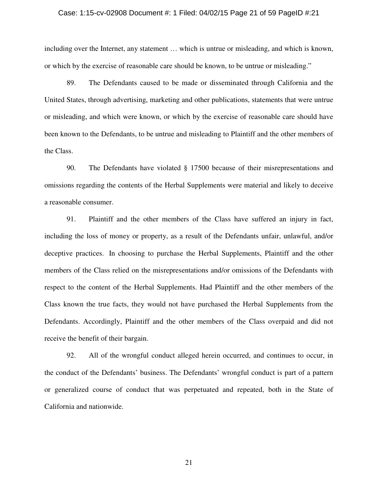#### Case: 1:15-cv-02908 Document #: 1 Filed: 04/02/15 Page 21 of 59 PageID #:21

including over the Internet, any statement … which is untrue or misleading, and which is known, or which by the exercise of reasonable care should be known, to be untrue or misleading."

89. The Defendants caused to be made or disseminated through California and the United States, through advertising, marketing and other publications, statements that were untrue or misleading, and which were known, or which by the exercise of reasonable care should have been known to the Defendants, to be untrue and misleading to Plaintiff and the other members of the Class.

90. The Defendants have violated § 17500 because of their misrepresentations and omissions regarding the contents of the Herbal Supplements were material and likely to deceive a reasonable consumer.

91. Plaintiff and the other members of the Class have suffered an injury in fact, including the loss of money or property, as a result of the Defendants unfair, unlawful, and/or deceptive practices. In choosing to purchase the Herbal Supplements, Plaintiff and the other members of the Class relied on the misrepresentations and/or omissions of the Defendants with respect to the content of the Herbal Supplements. Had Plaintiff and the other members of the Class known the true facts, they would not have purchased the Herbal Supplements from the Defendants. Accordingly, Plaintiff and the other members of the Class overpaid and did not receive the benefit of their bargain.

92. All of the wrongful conduct alleged herein occurred, and continues to occur, in the conduct of the Defendants' business. The Defendants' wrongful conduct is part of a pattern or generalized course of conduct that was perpetuated and repeated, both in the State of California and nationwide.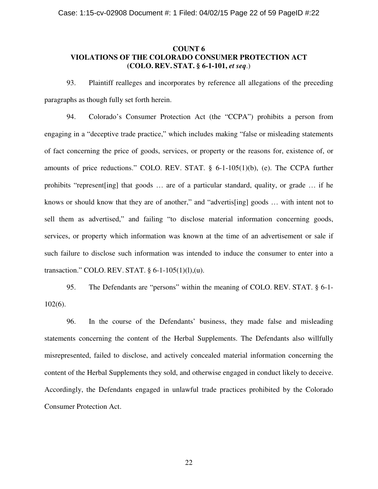## **COUNT 6 VIOLATIONS OF THE COLORADO CONSUMER PROTECTION ACT (COLO. REV. STAT. § 6-1-101,** *et seq*.)

93. Plaintiff realleges and incorporates by reference all allegations of the preceding paragraphs as though fully set forth herein.

94. Colorado's Consumer Protection Act (the "CCPA") prohibits a person from engaging in a "deceptive trade practice," which includes making "false or misleading statements of fact concerning the price of goods, services, or property or the reasons for, existence of, or amounts of price reductions." COLO. REV. STAT. § 6-1-105(1)(b), (e). The CCPA further prohibits "represent[ing] that goods … are of a particular standard, quality, or grade … if he knows or should know that they are of another," and "advertis[ing] goods … with intent not to sell them as advertised," and failing "to disclose material information concerning goods, services, or property which information was known at the time of an advertisement or sale if such failure to disclose such information was intended to induce the consumer to enter into a transaction." COLO. REV. STAT.  $\S$  6-1-105(1)(1),(u).

95. The Defendants are "persons" within the meaning of COLO. REV. STAT. § 6-1- 102(6).

96. In the course of the Defendants' business, they made false and misleading statements concerning the content of the Herbal Supplements. The Defendants also willfully misrepresented, failed to disclose, and actively concealed material information concerning the content of the Herbal Supplements they sold, and otherwise engaged in conduct likely to deceive. Accordingly, the Defendants engaged in unlawful trade practices prohibited by the Colorado Consumer Protection Act.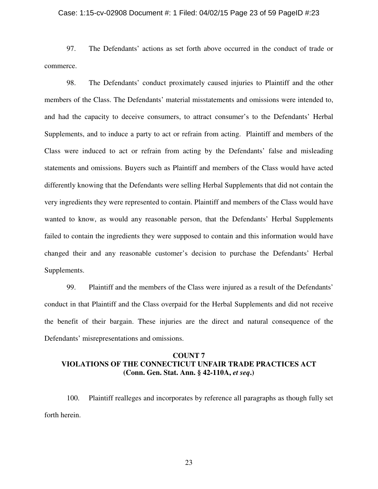### Case: 1:15-cv-02908 Document #: 1 Filed: 04/02/15 Page 23 of 59 PageID #:23

97. The Defendants' actions as set forth above occurred in the conduct of trade or commerce.

98. The Defendants' conduct proximately caused injuries to Plaintiff and the other members of the Class. The Defendants' material misstatements and omissions were intended to, and had the capacity to deceive consumers, to attract consumer's to the Defendants' Herbal Supplements, and to induce a party to act or refrain from acting. Plaintiff and members of the Class were induced to act or refrain from acting by the Defendants' false and misleading statements and omissions. Buyers such as Plaintiff and members of the Class would have acted differently knowing that the Defendants were selling Herbal Supplements that did not contain the very ingredients they were represented to contain. Plaintiff and members of the Class would have wanted to know, as would any reasonable person, that the Defendants' Herbal Supplements failed to contain the ingredients they were supposed to contain and this information would have changed their and any reasonable customer's decision to purchase the Defendants' Herbal Supplements.

99. Plaintiff and the members of the Class were injured as a result of the Defendants' conduct in that Plaintiff and the Class overpaid for the Herbal Supplements and did not receive the benefit of their bargain. These injuries are the direct and natural consequence of the Defendants' misrepresentations and omissions.

# **COUNT 7 VIOLATIONS OF THE CONNECTICUT UNFAIR TRADE PRACTICES ACT (Conn. Gen. Stat. Ann. § 42-110A,** *et seq***.)**

100. Plaintiff realleges and incorporates by reference all paragraphs as though fully set forth herein.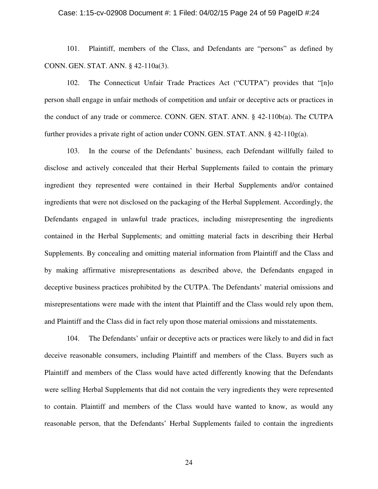### Case: 1:15-cv-02908 Document #: 1 Filed: 04/02/15 Page 24 of 59 PageID #:24

101. Plaintiff, members of the Class, and Defendants are "persons" as defined by CONN. GEN. STAT. ANN. § 42-110a(3).

102. The Connecticut Unfair Trade Practices Act ("CUTPA") provides that "[n]o person shall engage in unfair methods of competition and unfair or deceptive acts or practices in the conduct of any trade or commerce. CONN. GEN. STAT. ANN. § 42-110b(a). The CUTPA further provides a private right of action under CONN. GEN. STAT. ANN. § 42-110g(a).

103. In the course of the Defendants' business, each Defendant willfully failed to disclose and actively concealed that their Herbal Supplements failed to contain the primary ingredient they represented were contained in their Herbal Supplements and/or contained ingredients that were not disclosed on the packaging of the Herbal Supplement. Accordingly, the Defendants engaged in unlawful trade practices, including misrepresenting the ingredients contained in the Herbal Supplements; and omitting material facts in describing their Herbal Supplements. By concealing and omitting material information from Plaintiff and the Class and by making affirmative misrepresentations as described above, the Defendants engaged in deceptive business practices prohibited by the CUTPA. The Defendants' material omissions and misrepresentations were made with the intent that Plaintiff and the Class would rely upon them, and Plaintiff and the Class did in fact rely upon those material omissions and misstatements.

104. The Defendants' unfair or deceptive acts or practices were likely to and did in fact deceive reasonable consumers, including Plaintiff and members of the Class. Buyers such as Plaintiff and members of the Class would have acted differently knowing that the Defendants were selling Herbal Supplements that did not contain the very ingredients they were represented to contain. Plaintiff and members of the Class would have wanted to know, as would any reasonable person, that the Defendants' Herbal Supplements failed to contain the ingredients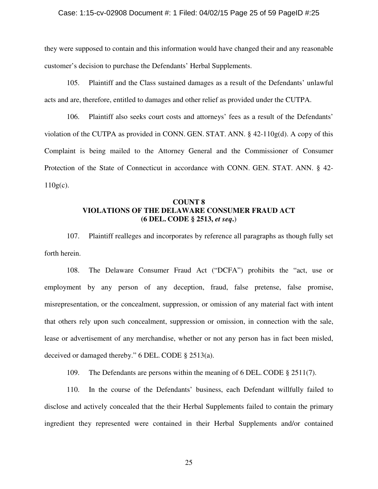### Case: 1:15-cv-02908 Document #: 1 Filed: 04/02/15 Page 25 of 59 PageID #:25

they were supposed to contain and this information would have changed their and any reasonable customer's decision to purchase the Defendants' Herbal Supplements.

105. Plaintiff and the Class sustained damages as a result of the Defendants' unlawful acts and are, therefore, entitled to damages and other relief as provided under the CUTPA.

106. Plaintiff also seeks court costs and attorneys' fees as a result of the Defendants' violation of the CUTPA as provided in CONN. GEN. STAT. ANN.  $\S$  42-110g(d). A copy of this Complaint is being mailed to the Attorney General and the Commissioner of Consumer Protection of the State of Connecticut in accordance with CONN. GEN. STAT. ANN. § 42-  $110g(c)$ .

# **COUNT 8 VIOLATIONS OF THE DELAWARE CONSUMER FRAUD ACT (6 DEL. CODE § 2513,** *et seq***.**)

107. Plaintiff realleges and incorporates by reference all paragraphs as though fully set forth herein.

108. The Delaware Consumer Fraud Act ("DCFA") prohibits the "act, use or employment by any person of any deception, fraud, false pretense, false promise, misrepresentation, or the concealment, suppression, or omission of any material fact with intent that others rely upon such concealment, suppression or omission, in connection with the sale, lease or advertisement of any merchandise, whether or not any person has in fact been misled, deceived or damaged thereby." 6 DEL. CODE § 2513(a).

109. The Defendants are persons within the meaning of 6 DEL. CODE § 2511(7).

110. In the course of the Defendants' business, each Defendant willfully failed to disclose and actively concealed that the their Herbal Supplements failed to contain the primary ingredient they represented were contained in their Herbal Supplements and/or contained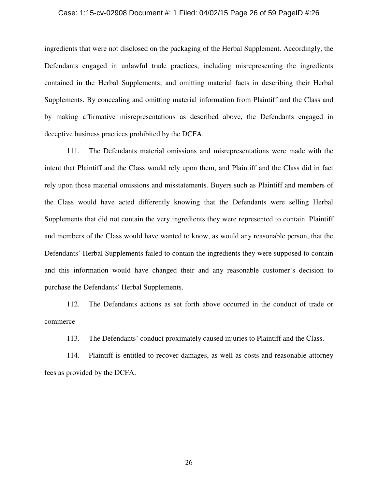#### Case: 1:15-cv-02908 Document #: 1 Filed: 04/02/15 Page 26 of 59 PageID #:26

ingredients that were not disclosed on the packaging of the Herbal Supplement. Accordingly, the Defendants engaged in unlawful trade practices, including misrepresenting the ingredients contained in the Herbal Supplements; and omitting material facts in describing their Herbal Supplements. By concealing and omitting material information from Plaintiff and the Class and by making affirmative misrepresentations as described above, the Defendants engaged in deceptive business practices prohibited by the DCFA.

111. The Defendants material omissions and misrepresentations were made with the intent that Plaintiff and the Class would rely upon them, and Plaintiff and the Class did in fact rely upon those material omissions and misstatements. Buyers such as Plaintiff and members of the Class would have acted differently knowing that the Defendants were selling Herbal Supplements that did not contain the very ingredients they were represented to contain. Plaintiff and members of the Class would have wanted to know, as would any reasonable person, that the Defendants' Herbal Supplements failed to contain the ingredients they were supposed to contain and this information would have changed their and any reasonable customer's decision to purchase the Defendants' Herbal Supplements.

112. The Defendants actions as set forth above occurred in the conduct of trade or commerce

113. The Defendants' conduct proximately caused injuries to Plaintiff and the Class.

114. Plaintiff is entitled to recover damages, as well as costs and reasonable attorney fees as provided by the DCFA.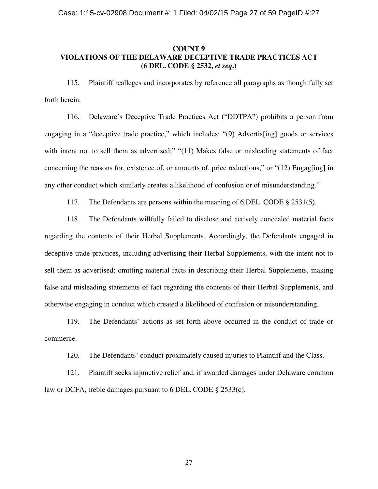## **COUNT 9 VIOLATIONS OF THE DELAWARE DECEPTIVE TRADE PRACTICES ACT (6 DEL. CODE § 2532,** *et seq***.)**

115. Plaintiff realleges and incorporates by reference all paragraphs as though fully set forth herein.

116. Delaware's Deceptive Trade Practices Act ("DDTPA") prohibits a person from engaging in a "deceptive trade practice," which includes: "(9) Advertis[ing] goods or services with intent not to sell them as advertised;" "(11) Makes false or misleading statements of fact concerning the reasons for, existence of, or amounts of, price reductions," or " $(12)$  Engag[ing] in any other conduct which similarly creates a likelihood of confusion or of misunderstanding."

117. The Defendants are persons within the meaning of 6 DEL. CODE § 2531(5).

118. The Defendants willfully failed to disclose and actively concealed material facts regarding the contents of their Herbal Supplements. Accordingly, the Defendants engaged in deceptive trade practices, including advertising their Herbal Supplements, with the intent not to sell them as advertised; omitting material facts in describing their Herbal Supplements, making false and misleading statements of fact regarding the contents of their Herbal Supplements, and otherwise engaging in conduct which created a likelihood of confusion or misunderstanding.

119. The Defendants' actions as set forth above occurred in the conduct of trade or commerce.

120. The Defendants' conduct proximately caused injuries to Plaintiff and the Class.

121. Plaintiff seeks injunctive relief and, if awarded damages under Delaware common law or DCFA, treble damages pursuant to 6 DEL. CODE § 2533(c).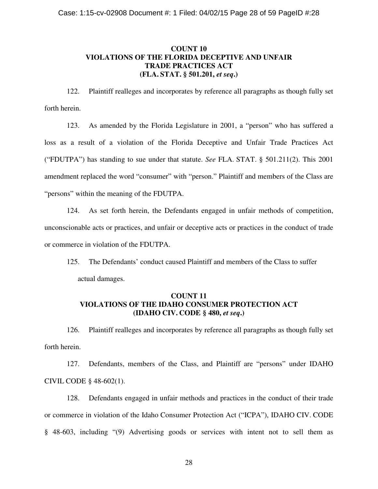# **COUNT 10 VIOLATIONS OF THE FLORIDA DECEPTIVE AND UNFAIR TRADE PRACTICES ACT (FLA. STAT. § 501.201,** *et seq***.)**

122. Plaintiff realleges and incorporates by reference all paragraphs as though fully set forth herein.

123. As amended by the Florida Legislature in 2001, a "person" who has suffered a loss as a result of a violation of the Florida Deceptive and Unfair Trade Practices Act ("FDUTPA") has standing to sue under that statute. *See* FLA. STAT. § 501.211(2). This 2001 amendment replaced the word "consumer" with "person." Plaintiff and members of the Class are "persons" within the meaning of the FDUTPA.

124. As set forth herein, the Defendants engaged in unfair methods of competition, unconscionable acts or practices, and unfair or deceptive acts or practices in the conduct of trade or commerce in violation of the FDUTPA.

125. The Defendants' conduct caused Plaintiff and members of the Class to suffer actual damages.

# **COUNT 11 VIOLATIONS OF THE IDAHO CONSUMER PROTECTION ACT (IDAHO CIV. CODE § 480,** *et seq***.)**

126. Plaintiff realleges and incorporates by reference all paragraphs as though fully set forth herein.

127. Defendants, members of the Class, and Plaintiff are "persons" under IDAHO CIVIL CODE § 48-602(1).

128. Defendants engaged in unfair methods and practices in the conduct of their trade or commerce in violation of the Idaho Consumer Protection Act ("ICPA"), IDAHO CIV. CODE § 48-603, including "(9) Advertising goods or services with intent not to sell them as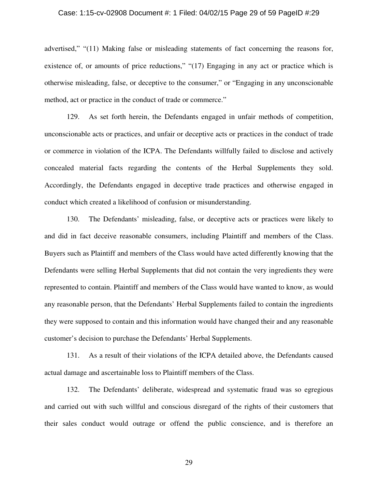#### Case: 1:15-cv-02908 Document #: 1 Filed: 04/02/15 Page 29 of 59 PageID #:29

advertised," "(11) Making false or misleading statements of fact concerning the reasons for, existence of, or amounts of price reductions," "(17) Engaging in any act or practice which is otherwise misleading, false, or deceptive to the consumer," or "Engaging in any unconscionable method, act or practice in the conduct of trade or commerce."

129. As set forth herein, the Defendants engaged in unfair methods of competition, unconscionable acts or practices, and unfair or deceptive acts or practices in the conduct of trade or commerce in violation of the ICPA. The Defendants willfully failed to disclose and actively concealed material facts regarding the contents of the Herbal Supplements they sold. Accordingly, the Defendants engaged in deceptive trade practices and otherwise engaged in conduct which created a likelihood of confusion or misunderstanding.

130. The Defendants' misleading, false, or deceptive acts or practices were likely to and did in fact deceive reasonable consumers, including Plaintiff and members of the Class. Buyers such as Plaintiff and members of the Class would have acted differently knowing that the Defendants were selling Herbal Supplements that did not contain the very ingredients they were represented to contain. Plaintiff and members of the Class would have wanted to know, as would any reasonable person, that the Defendants' Herbal Supplements failed to contain the ingredients they were supposed to contain and this information would have changed their and any reasonable customer's decision to purchase the Defendants' Herbal Supplements.

131. As a result of their violations of the ICPA detailed above, the Defendants caused actual damage and ascertainable loss to Plaintiff members of the Class.

132. The Defendants' deliberate, widespread and systematic fraud was so egregious and carried out with such willful and conscious disregard of the rights of their customers that their sales conduct would outrage or offend the public conscience, and is therefore an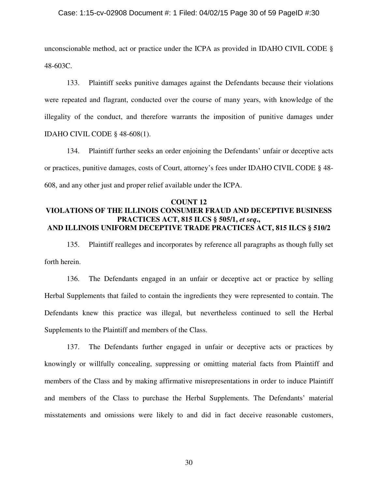### Case: 1:15-cv-02908 Document #: 1 Filed: 04/02/15 Page 30 of 59 PageID #:30

unconscionable method, act or practice under the ICPA as provided in IDAHO CIVIL CODE § 48-603C.

133. Plaintiff seeks punitive damages against the Defendants because their violations were repeated and flagrant, conducted over the course of many years, with knowledge of the illegality of the conduct, and therefore warrants the imposition of punitive damages under IDAHO CIVIL CODE § 48-608(1).

134. Plaintiff further seeks an order enjoining the Defendants' unfair or deceptive acts or practices, punitive damages, costs of Court, attorney's fees under IDAHO CIVIL CODE § 48- 608, and any other just and proper relief available under the ICPA.

# **COUNT 12 VIOLATIONS OF THE ILLINOIS CONSUMER FRAUD AND DECEPTIVE BUSINESS PRACTICES ACT, 815 ILCS § 505/1,** *et seq***., AND ILLINOIS UNIFORM DECEPTIVE TRADE PRACTICES ACT, 815 ILCS § 510/2**

135. Plaintiff realleges and incorporates by reference all paragraphs as though fully set forth herein.

136. The Defendants engaged in an unfair or deceptive act or practice by selling Herbal Supplements that failed to contain the ingredients they were represented to contain. The Defendants knew this practice was illegal, but nevertheless continued to sell the Herbal Supplements to the Plaintiff and members of the Class.

137. The Defendants further engaged in unfair or deceptive acts or practices by knowingly or willfully concealing, suppressing or omitting material facts from Plaintiff and members of the Class and by making affirmative misrepresentations in order to induce Plaintiff and members of the Class to purchase the Herbal Supplements. The Defendants' material misstatements and omissions were likely to and did in fact deceive reasonable customers,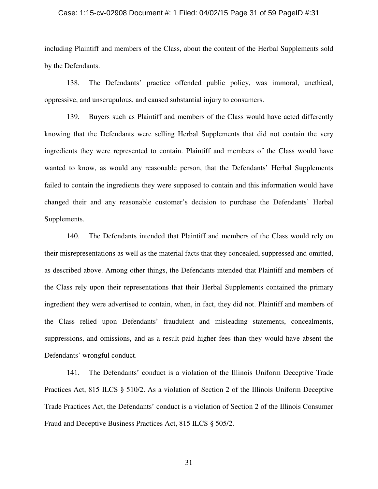### Case: 1:15-cv-02908 Document #: 1 Filed: 04/02/15 Page 31 of 59 PageID #:31

including Plaintiff and members of the Class, about the content of the Herbal Supplements sold by the Defendants.

138. The Defendants' practice offended public policy, was immoral, unethical, oppressive, and unscrupulous, and caused substantial injury to consumers.

139. Buyers such as Plaintiff and members of the Class would have acted differently knowing that the Defendants were selling Herbal Supplements that did not contain the very ingredients they were represented to contain. Plaintiff and members of the Class would have wanted to know, as would any reasonable person, that the Defendants' Herbal Supplements failed to contain the ingredients they were supposed to contain and this information would have changed their and any reasonable customer's decision to purchase the Defendants' Herbal Supplements.

140. The Defendants intended that Plaintiff and members of the Class would rely on their misrepresentations as well as the material facts that they concealed, suppressed and omitted, as described above. Among other things, the Defendants intended that Plaintiff and members of the Class rely upon their representations that their Herbal Supplements contained the primary ingredient they were advertised to contain, when, in fact, they did not. Plaintiff and members of the Class relied upon Defendants' fraudulent and misleading statements, concealments, suppressions, and omissions, and as a result paid higher fees than they would have absent the Defendants' wrongful conduct.

141. The Defendants' conduct is a violation of the Illinois Uniform Deceptive Trade Practices Act, 815 ILCS § 510/2. As a violation of Section 2 of the Illinois Uniform Deceptive Trade Practices Act, the Defendants' conduct is a violation of Section 2 of the Illinois Consumer Fraud and Deceptive Business Practices Act, 815 ILCS § 505/2.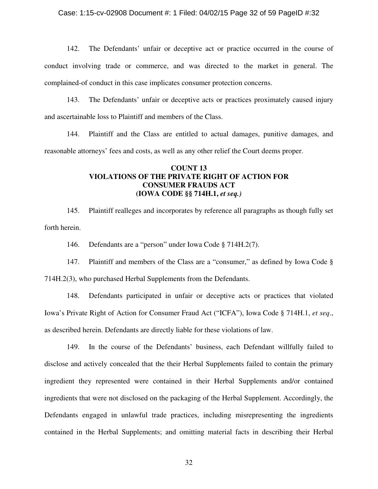### Case: 1:15-cv-02908 Document #: 1 Filed: 04/02/15 Page 32 of 59 PageID #:32

142. The Defendants' unfair or deceptive act or practice occurred in the course of conduct involving trade or commerce, and was directed to the market in general. The complained-of conduct in this case implicates consumer protection concerns.

143. The Defendants' unfair or deceptive acts or practices proximately caused injury and ascertainable loss to Plaintiff and members of the Class.

144. Plaintiff and the Class are entitled to actual damages, punitive damages, and reasonable attorneys' fees and costs, as well as any other relief the Court deems proper.

# **COUNT 13 VIOLATIONS OF THE PRIVATE RIGHT OF ACTION FOR CONSUMER FRAUDS ACT (IOWA CODE §§ 714H.1,** *et seq.)*

145. Plaintiff realleges and incorporates by reference all paragraphs as though fully set forth herein.

146. Defendants are a "person" under Iowa Code § 714H.2(7).

147. Plaintiff and members of the Class are a "consumer," as defined by Iowa Code § 714H.2(3), who purchased Herbal Supplements from the Defendants.

148. Defendants participated in unfair or deceptive acts or practices that violated Iowa's Private Right of Action for Consumer Fraud Act ("ICFA"), Iowa Code § 714H.1, *et seq*., as described herein. Defendants are directly liable for these violations of law.

149. In the course of the Defendants' business, each Defendant willfully failed to disclose and actively concealed that the their Herbal Supplements failed to contain the primary ingredient they represented were contained in their Herbal Supplements and/or contained ingredients that were not disclosed on the packaging of the Herbal Supplement. Accordingly, the Defendants engaged in unlawful trade practices, including misrepresenting the ingredients contained in the Herbal Supplements; and omitting material facts in describing their Herbal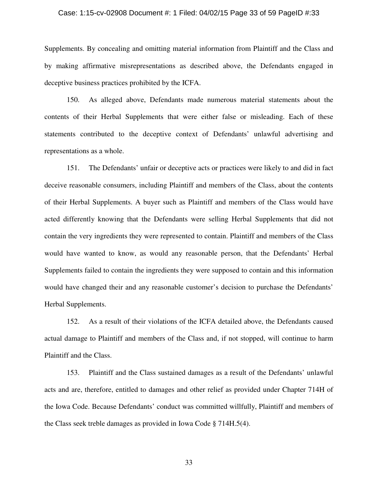#### Case: 1:15-cv-02908 Document #: 1 Filed: 04/02/15 Page 33 of 59 PageID #:33

Supplements. By concealing and omitting material information from Plaintiff and the Class and by making affirmative misrepresentations as described above, the Defendants engaged in deceptive business practices prohibited by the ICFA.

150. As alleged above, Defendants made numerous material statements about the contents of their Herbal Supplements that were either false or misleading. Each of these statements contributed to the deceptive context of Defendants' unlawful advertising and representations as a whole.

151. The Defendants' unfair or deceptive acts or practices were likely to and did in fact deceive reasonable consumers, including Plaintiff and members of the Class, about the contents of their Herbal Supplements. A buyer such as Plaintiff and members of the Class would have acted differently knowing that the Defendants were selling Herbal Supplements that did not contain the very ingredients they were represented to contain. Plaintiff and members of the Class would have wanted to know, as would any reasonable person, that the Defendants' Herbal Supplements failed to contain the ingredients they were supposed to contain and this information would have changed their and any reasonable customer's decision to purchase the Defendants' Herbal Supplements.

152. As a result of their violations of the ICFA detailed above, the Defendants caused actual damage to Plaintiff and members of the Class and, if not stopped, will continue to harm Plaintiff and the Class.

153. Plaintiff and the Class sustained damages as a result of the Defendants' unlawful acts and are, therefore, entitled to damages and other relief as provided under Chapter 714H of the Iowa Code. Because Defendants' conduct was committed willfully, Plaintiff and members of the Class seek treble damages as provided in Iowa Code § 714H.5(4).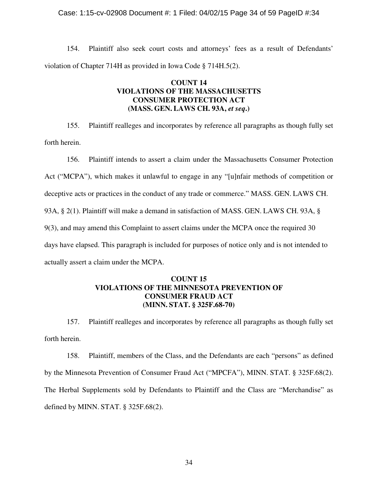### Case: 1:15-cv-02908 Document #: 1 Filed: 04/02/15 Page 34 of 59 PageID #:34

154. Plaintiff also seek court costs and attorneys' fees as a result of Defendants' violation of Chapter 714H as provided in Iowa Code § 714H.5(2).

# **COUNT 14 VIOLATIONS OF THE MASSACHUSETTS CONSUMER PROTECTION ACT (MASS. GEN. LAWS CH. 93A,** *et seq***.)**

155. Plaintiff realleges and incorporates by reference all paragraphs as though fully set forth herein.

156. Plaintiff intends to assert a claim under the Massachusetts Consumer Protection Act ("MCPA"), which makes it unlawful to engage in any "[u]nfair methods of competition or deceptive acts or practices in the conduct of any trade or commerce." MASS. GEN. LAWS CH. 93A, § 2(1). Plaintiff will make a demand in satisfaction of MASS. GEN. LAWS CH. 93A, § 9(3), and may amend this Complaint to assert claims under the MCPA once the required 30 days have elapsed. This paragraph is included for purposes of notice only and is not intended to actually assert a claim under the MCPA.

# **COUNT 15 VIOLATIONS OF THE MINNESOTA PREVENTION OF CONSUMER FRAUD ACT (MINN. STAT. § 325F.68-70)**

157. Plaintiff realleges and incorporates by reference all paragraphs as though fully set forth herein.

158. Plaintiff, members of the Class, and the Defendants are each "persons" as defined by the Minnesota Prevention of Consumer Fraud Act ("MPCFA"), MINN. STAT. § 325F.68(2). The Herbal Supplements sold by Defendants to Plaintiff and the Class are "Merchandise" as defined by MINN. STAT. § 325F.68(2).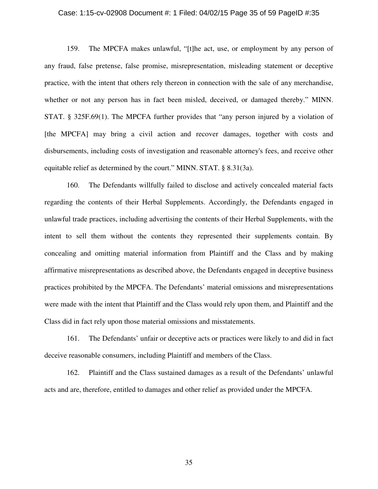#### Case: 1:15-cv-02908 Document #: 1 Filed: 04/02/15 Page 35 of 59 PageID #:35

159. The MPCFA makes unlawful, "[t]he act, use, or employment by any person of any fraud, false pretense, false promise, misrepresentation, misleading statement or deceptive practice, with the intent that others rely thereon in connection with the sale of any merchandise, whether or not any person has in fact been misled, deceived, or damaged thereby." MINN. STAT. § 325F.69(1). The MPCFA further provides that "any person injured by a violation of [the MPCFA] may bring a civil action and recover damages, together with costs and disbursements, including costs of investigation and reasonable attorney's fees, and receive other equitable relief as determined by the court." MINN. STAT. § 8.31(3a).

160. The Defendants willfully failed to disclose and actively concealed material facts regarding the contents of their Herbal Supplements. Accordingly, the Defendants engaged in unlawful trade practices, including advertising the contents of their Herbal Supplements, with the intent to sell them without the contents they represented their supplements contain. By concealing and omitting material information from Plaintiff and the Class and by making affirmative misrepresentations as described above, the Defendants engaged in deceptive business practices prohibited by the MPCFA. The Defendants' material omissions and misrepresentations were made with the intent that Plaintiff and the Class would rely upon them, and Plaintiff and the Class did in fact rely upon those material omissions and misstatements.

161. The Defendants' unfair or deceptive acts or practices were likely to and did in fact deceive reasonable consumers, including Plaintiff and members of the Class.

162. Plaintiff and the Class sustained damages as a result of the Defendants' unlawful acts and are, therefore, entitled to damages and other relief as provided under the MPCFA.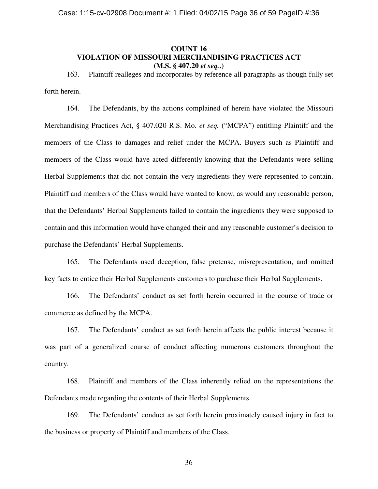# **COUNT 16 VIOLATION OF MISSOURI MERCHANDISING PRACTICES ACT (M.S. § 407.20** *et seq.***.)**

163. Plaintiff realleges and incorporates by reference all paragraphs as though fully set forth herein.

164. The Defendants, by the actions complained of herein have violated the Missouri Merchandising Practices Act, § 407.020 R.S. Mo. *et seq.* ("MCPA") entitling Plaintiff and the members of the Class to damages and relief under the MCPA. Buyers such as Plaintiff and members of the Class would have acted differently knowing that the Defendants were selling Herbal Supplements that did not contain the very ingredients they were represented to contain. Plaintiff and members of the Class would have wanted to know, as would any reasonable person, that the Defendants' Herbal Supplements failed to contain the ingredients they were supposed to contain and this information would have changed their and any reasonable customer's decision to purchase the Defendants' Herbal Supplements.

165. The Defendants used deception, false pretense, misrepresentation, and omitted key facts to entice their Herbal Supplements customers to purchase their Herbal Supplements.

166. The Defendants' conduct as set forth herein occurred in the course of trade or commerce as defined by the MCPA.

167. The Defendants' conduct as set forth herein affects the public interest because it was part of a generalized course of conduct affecting numerous customers throughout the country.

168. Plaintiff and members of the Class inherently relied on the representations the Defendants made regarding the contents of their Herbal Supplements.

169. The Defendants' conduct as set forth herein proximately caused injury in fact to the business or property of Plaintiff and members of the Class.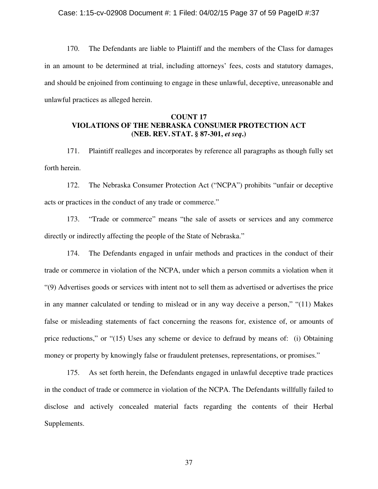170. The Defendants are liable to Plaintiff and the members of the Class for damages in an amount to be determined at trial, including attorneys' fees, costs and statutory damages, and should be enjoined from continuing to engage in these unlawful, deceptive, unreasonable and unlawful practices as alleged herein.

# **COUNT 17 VIOLATIONS OF THE NEBRASKA CONSUMER PROTECTION ACT (NEB. REV. STAT. § 87-301,** *et seq***.)**

171. Plaintiff realleges and incorporates by reference all paragraphs as though fully set forth herein.

172. The Nebraska Consumer Protection Act ("NCPA") prohibits "unfair or deceptive acts or practices in the conduct of any trade or commerce."

173. "Trade or commerce" means "the sale of assets or services and any commerce directly or indirectly affecting the people of the State of Nebraska."

174. The Defendants engaged in unfair methods and practices in the conduct of their trade or commerce in violation of the NCPA, under which a person commits a violation when it "(9) Advertises goods or services with intent not to sell them as advertised or advertises the price in any manner calculated or tending to mislead or in any way deceive a person," "(11) Makes false or misleading statements of fact concerning the reasons for, existence of, or amounts of price reductions," or "(15) Uses any scheme or device to defraud by means of: (i) Obtaining money or property by knowingly false or fraudulent pretenses, representations, or promises."

175. As set forth herein, the Defendants engaged in unlawful deceptive trade practices in the conduct of trade or commerce in violation of the NCPA. The Defendants willfully failed to disclose and actively concealed material facts regarding the contents of their Herbal Supplements.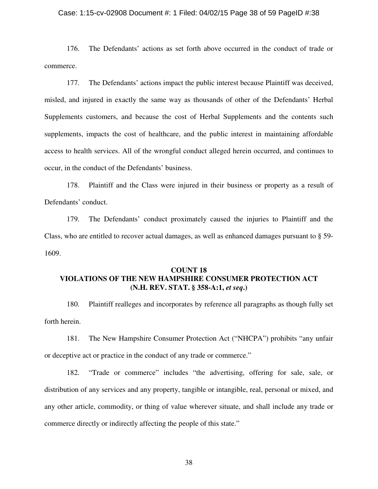### Case: 1:15-cv-02908 Document #: 1 Filed: 04/02/15 Page 38 of 59 PageID #:38

176. The Defendants' actions as set forth above occurred in the conduct of trade or commerce.

177. The Defendants' actions impact the public interest because Plaintiff was deceived, misled, and injured in exactly the same way as thousands of other of the Defendants' Herbal Supplements customers, and because the cost of Herbal Supplements and the contents such supplements, impacts the cost of healthcare, and the public interest in maintaining affordable access to health services. All of the wrongful conduct alleged herein occurred, and continues to occur, in the conduct of the Defendants' business.

178. Plaintiff and the Class were injured in their business or property as a result of Defendants' conduct.

179. The Defendants' conduct proximately caused the injuries to Plaintiff and the Class, who are entitled to recover actual damages, as well as enhanced damages pursuant to § 59- 1609.

# **COUNT 18 VIOLATIONS OF THE NEW HAMPSHIRE CONSUMER PROTECTION ACT (N.H. REV. STAT. § 358-A:1,** *et seq***.)**

180. Plaintiff realleges and incorporates by reference all paragraphs as though fully set forth herein.

181. The New Hampshire Consumer Protection Act ("NHCPA") prohibits "any unfair or deceptive act or practice in the conduct of any trade or commerce."

182. "Trade or commerce" includes "the advertising, offering for sale, sale, or distribution of any services and any property, tangible or intangible, real, personal or mixed, and any other article, commodity, or thing of value wherever situate, and shall include any trade or commerce directly or indirectly affecting the people of this state."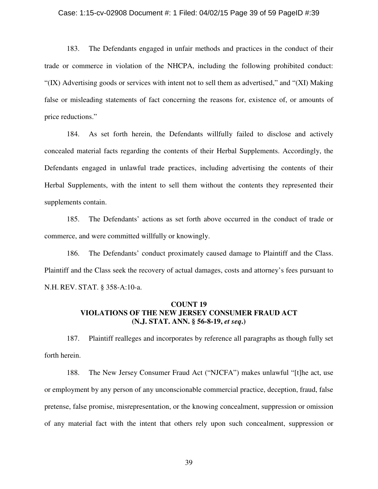#### Case: 1:15-cv-02908 Document #: 1 Filed: 04/02/15 Page 39 of 59 PageID #:39

183. The Defendants engaged in unfair methods and practices in the conduct of their trade or commerce in violation of the NHCPA, including the following prohibited conduct: " $(IX)$  Advertising goods or services with intent not to sell them as advertised," and " $(XI)$  Making" false or misleading statements of fact concerning the reasons for, existence of, or amounts of price reductions."

184. As set forth herein, the Defendants willfully failed to disclose and actively concealed material facts regarding the contents of their Herbal Supplements. Accordingly, the Defendants engaged in unlawful trade practices, including advertising the contents of their Herbal Supplements, with the intent to sell them without the contents they represented their supplements contain.

185. The Defendants' actions as set forth above occurred in the conduct of trade or commerce, and were committed willfully or knowingly.

186. The Defendants' conduct proximately caused damage to Plaintiff and the Class. Plaintiff and the Class seek the recovery of actual damages, costs and attorney's fees pursuant to N.H. REV. STAT. § 358-A:10-a.

# **COUNT 19 VIOLATIONS OF THE NEW JERSEY CONSUMER FRAUD ACT (N.J. STAT. ANN. § 56-8-19,** *et seq***.)**

187. Plaintiff realleges and incorporates by reference all paragraphs as though fully set forth herein.

188. The New Jersey Consumer Fraud Act ("NJCFA") makes unlawful "[t]he act, use or employment by any person of any unconscionable commercial practice, deception, fraud, false pretense, false promise, misrepresentation, or the knowing concealment, suppression or omission of any material fact with the intent that others rely upon such concealment, suppression or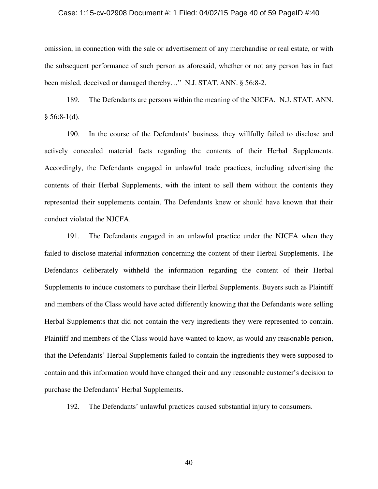#### Case: 1:15-cv-02908 Document #: 1 Filed: 04/02/15 Page 40 of 59 PageID #:40

omission, in connection with the sale or advertisement of any merchandise or real estate, or with the subsequent performance of such person as aforesaid, whether or not any person has in fact been misled, deceived or damaged thereby…" N.J. STAT. ANN. § 56:8-2.

189. The Defendants are persons within the meaning of the NJCFA. N.J. STAT. ANN.  $§ 56:8-1(d).$ 

190. In the course of the Defendants' business, they willfully failed to disclose and actively concealed material facts regarding the contents of their Herbal Supplements. Accordingly, the Defendants engaged in unlawful trade practices, including advertising the contents of their Herbal Supplements, with the intent to sell them without the contents they represented their supplements contain. The Defendants knew or should have known that their conduct violated the NJCFA.

191. The Defendants engaged in an unlawful practice under the NJCFA when they failed to disclose material information concerning the content of their Herbal Supplements. The Defendants deliberately withheld the information regarding the content of their Herbal Supplements to induce customers to purchase their Herbal Supplements. Buyers such as Plaintiff and members of the Class would have acted differently knowing that the Defendants were selling Herbal Supplements that did not contain the very ingredients they were represented to contain. Plaintiff and members of the Class would have wanted to know, as would any reasonable person, that the Defendants' Herbal Supplements failed to contain the ingredients they were supposed to contain and this information would have changed their and any reasonable customer's decision to purchase the Defendants' Herbal Supplements.

192. The Defendants' unlawful practices caused substantial injury to consumers.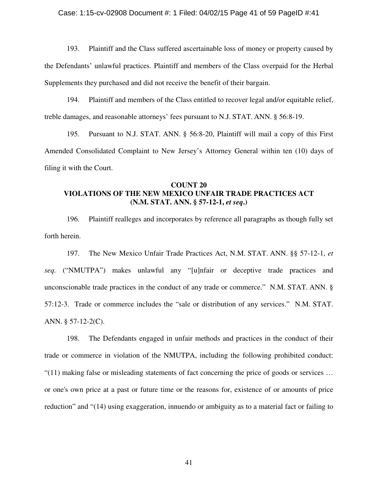### Case: 1:15-cv-02908 Document #: 1 Filed: 04/02/15 Page 41 of 59 PageID #:41

193. Plaintiff and the Class suffered ascertainable loss of money or property caused by the Defendants' unlawful practices. Plaintiff and members of the Class overpaid for the Herbal Supplements they purchased and did not receive the benefit of their bargain.

194. Plaintiff and members of the Class entitled to recover legal and/or equitable relief, treble damages, and reasonable attorneys' fees pursuant to N.J. STAT. ANN. § 56:8-19.

195. Pursuant to N.J. STAT. ANN. § 56:8-20, Plaintiff will mail a copy of this First Amended Consolidated Complaint to New Jersey's Attorney General within ten (10) days of filing it with the Court.

# **COUNT 20 VIOLATIONS OF THE NEW MEXICO UNFAIR TRADE PRACTICES ACT (N.M. STAT. ANN. § 57-12-1,** *et seq***.)**

196. Plaintiff realleges and incorporates by reference all paragraphs as though fully set forth herein.

197. The New Mexico Unfair Trade Practices Act, N.M. STAT. ANN. §§ 57-12-1, *et seq.* ("NMUTPA") makes unlawful any "[u]nfair or deceptive trade practices and unconscionable trade practices in the conduct of any trade or commerce." N.M. STAT. ANN. § 57:12-3. Trade or commerce includes the "sale or distribution of any services." N.M. STAT. ANN. § 57-12-2(C).

198. The Defendants engaged in unfair methods and practices in the conduct of their trade or commerce in violation of the NMUTPA, including the following prohibited conduct:  $(11)$  making false or misleading statements of fact concerning the price of goods or services ... or one's own price at a past or future time or the reasons for, existence of or amounts of price reduction" and "(14) using exaggeration, innuendo or ambiguity as to a material fact or failing to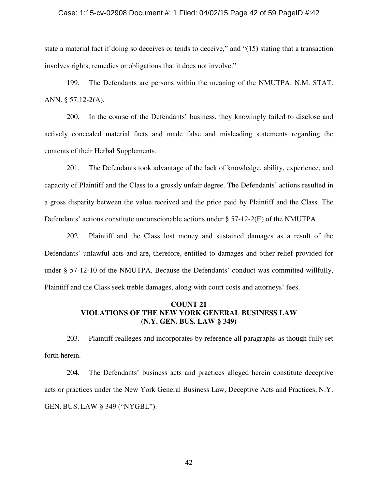#### Case: 1:15-cv-02908 Document #: 1 Filed: 04/02/15 Page 42 of 59 PageID #:42

state a material fact if doing so deceives or tends to deceive," and "(15) stating that a transaction involves rights, remedies or obligations that it does not involve."

199. The Defendants are persons within the meaning of the NMUTPA. N.M. STAT. ANN. § 57:12-2(A).

200. In the course of the Defendants' business, they knowingly failed to disclose and actively concealed material facts and made false and misleading statements regarding the contents of their Herbal Supplements.

201. The Defendants took advantage of the lack of knowledge, ability, experience, and capacity of Plaintiff and the Class to a grossly unfair degree. The Defendants' actions resulted in a gross disparity between the value received and the price paid by Plaintiff and the Class. The Defendants' actions constitute unconscionable actions under § 57-12-2(E) of the NMUTPA.

202. Plaintiff and the Class lost money and sustained damages as a result of the Defendants' unlawful acts and are, therefore, entitled to damages and other relief provided for under § 57-12-10 of the NMUTPA. Because the Defendants' conduct was committed willfully, Plaintiff and the Class seek treble damages, along with court costs and attorneys' fees.

## **COUNT 21 VIOLATIONS OF THE NEW YORK GENERAL BUSINESS LAW (N.Y. GEN. BUS. LAW § 349)**

203. Plaintiff realleges and incorporates by reference all paragraphs as though fully set forth herein.

204. The Defendants' business acts and practices alleged herein constitute deceptive acts or practices under the New York General Business Law, Deceptive Acts and Practices, N.Y. GEN. BUS. LAW § 349 ("NYGBL").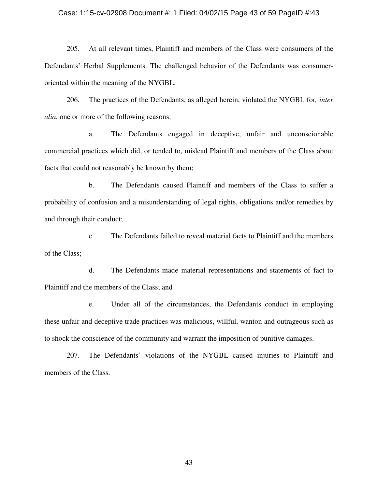### Case: 1:15-cv-02908 Document #: 1 Filed: 04/02/15 Page 43 of 59 PageID #:43

205. At all relevant times, Plaintiff and members of the Class were consumers of the Defendants' Herbal Supplements. The challenged behavior of the Defendants was consumeroriented within the meaning of the NYGBL.

206. The practices of the Defendants, as alleged herein, violated the NYGBL for*, inter alia*, one or more of the following reasons:

a. The Defendants engaged in deceptive, unfair and unconscionable commercial practices which did, or tended to, mislead Plaintiff and members of the Class about facts that could not reasonably be known by them;

b. The Defendants caused Plaintiff and members of the Class to suffer a probability of confusion and a misunderstanding of legal rights, obligations and/or remedies by and through their conduct;

c. The Defendants failed to reveal material facts to Plaintiff and the members of the Class;

d. The Defendants made material representations and statements of fact to Plaintiff and the members of the Class; and

e. Under all of the circumstances, the Defendants conduct in employing these unfair and deceptive trade practices was malicious, willful, wanton and outrageous such as to shock the conscience of the community and warrant the imposition of punitive damages.

207. The Defendants' violations of the NYGBL caused injuries to Plaintiff and members of the Class.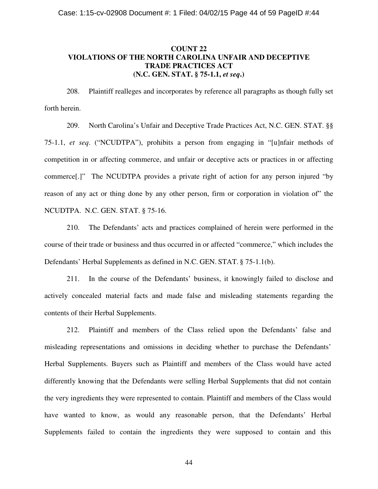# **COUNT 22 VIOLATIONS OF THE NORTH CAROLINA UNFAIR AND DECEPTIVE TRADE PRACTICES ACT (N.C. GEN. STAT. § 75-1.1,** *et seq***.)**

208. Plaintiff realleges and incorporates by reference all paragraphs as though fully set forth herein.

209. North Carolina's Unfair and Deceptive Trade Practices Act, N.C. GEN. STAT. §§ 75-1.1, *et seq*. ("NCUDTPA"), prohibits a person from engaging in "[u]nfair methods of competition in or affecting commerce, and unfair or deceptive acts or practices in or affecting commerce[.]" The NCUDTPA provides a private right of action for any person injured "by reason of any act or thing done by any other person, firm or corporation in violation of" the NCUDTPA. N.C. GEN. STAT. § 75-16.

210. The Defendants' acts and practices complained of herein were performed in the course of their trade or business and thus occurred in or affected "commerce," which includes the Defendants' Herbal Supplements as defined in N.C. GEN. STAT. § 75-1.1(b).

211. In the course of the Defendants' business, it knowingly failed to disclose and actively concealed material facts and made false and misleading statements regarding the contents of their Herbal Supplements.

212. Plaintiff and members of the Class relied upon the Defendants' false and misleading representations and omissions in deciding whether to purchase the Defendants' Herbal Supplements. Buyers such as Plaintiff and members of the Class would have acted differently knowing that the Defendants were selling Herbal Supplements that did not contain the very ingredients they were represented to contain. Plaintiff and members of the Class would have wanted to know, as would any reasonable person, that the Defendants' Herbal Supplements failed to contain the ingredients they were supposed to contain and this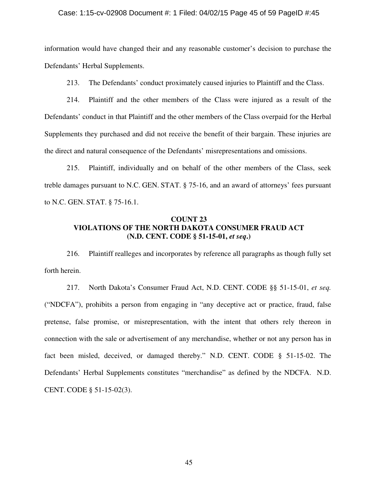### Case: 1:15-cv-02908 Document #: 1 Filed: 04/02/15 Page 45 of 59 PageID #:45

information would have changed their and any reasonable customer's decision to purchase the Defendants' Herbal Supplements.

213. The Defendants' conduct proximately caused injuries to Plaintiff and the Class.

214. Plaintiff and the other members of the Class were injured as a result of the Defendants' conduct in that Plaintiff and the other members of the Class overpaid for the Herbal Supplements they purchased and did not receive the benefit of their bargain. These injuries are the direct and natural consequence of the Defendants' misrepresentations and omissions.

215. Plaintiff, individually and on behalf of the other members of the Class, seek treble damages pursuant to N.C. GEN. STAT. § 75-16, and an award of attorneys' fees pursuant to N.C. GEN. STAT. § 75-16.1.

## **COUNT 23 VIOLATIONS OF THE NORTH DAKOTA CONSUMER FRAUD ACT (N.D. CENT. CODE § 51-15-01,** *et seq***.)**

216. Plaintiff realleges and incorporates by reference all paragraphs as though fully set forth herein.

217. North Dakota's Consumer Fraud Act, N.D. CENT. CODE §§ 51-15-01, *et seq.*  ("NDCFA"), prohibits a person from engaging in "any deceptive act or practice, fraud, false pretense, false promise, or misrepresentation, with the intent that others rely thereon in connection with the sale or advertisement of any merchandise, whether or not any person has in fact been misled, deceived, or damaged thereby." N.D. CENT. CODE § 51-15-02. The Defendants' Herbal Supplements constitutes "merchandise" as defined by the NDCFA. N.D. CENT. CODE § 51-15-02(3).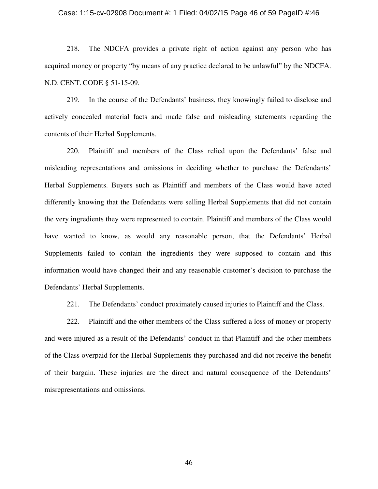#### Case: 1:15-cv-02908 Document #: 1 Filed: 04/02/15 Page 46 of 59 PageID #:46

218. The NDCFA provides a private right of action against any person who has acquired money or property "by means of any practice declared to be unlawful" by the NDCFA. N.D. CENT. CODE § 51-15-09.

219. In the course of the Defendants' business, they knowingly failed to disclose and actively concealed material facts and made false and misleading statements regarding the contents of their Herbal Supplements.

220. Plaintiff and members of the Class relied upon the Defendants' false and misleading representations and omissions in deciding whether to purchase the Defendants' Herbal Supplements. Buyers such as Plaintiff and members of the Class would have acted differently knowing that the Defendants were selling Herbal Supplements that did not contain the very ingredients they were represented to contain. Plaintiff and members of the Class would have wanted to know, as would any reasonable person, that the Defendants' Herbal Supplements failed to contain the ingredients they were supposed to contain and this information would have changed their and any reasonable customer's decision to purchase the Defendants' Herbal Supplements.

221. The Defendants' conduct proximately caused injuries to Plaintiff and the Class.

222. Plaintiff and the other members of the Class suffered a loss of money or property and were injured as a result of the Defendants' conduct in that Plaintiff and the other members of the Class overpaid for the Herbal Supplements they purchased and did not receive the benefit of their bargain. These injuries are the direct and natural consequence of the Defendants' misrepresentations and omissions.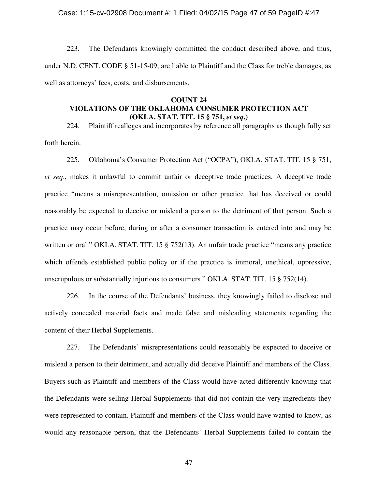## Case: 1:15-cv-02908 Document #: 1 Filed: 04/02/15 Page 47 of 59 PageID #:47

223. The Defendants knowingly committed the conduct described above, and thus, under N.D. CENT. CODE § 51-15-09, are liable to Plaintiff and the Class for treble damages, as well as attorneys' fees, costs, and disbursements.

## **COUNT 24 VIOLATIONS OF THE OKLAHOMA CONSUMER PROTECTION ACT (OKLA. STAT. TIT. 15 § 751,** *et seq***.)**

224. Plaintiff realleges and incorporates by reference all paragraphs as though fully set forth herein.

225. Oklahoma's Consumer Protection Act ("OCPA"), OKLA. STAT. TIT. 15 § 751, *et seq*., makes it unlawful to commit unfair or deceptive trade practices. A deceptive trade practice "means a misrepresentation, omission or other practice that has deceived or could reasonably be expected to deceive or mislead a person to the detriment of that person. Such a practice may occur before, during or after a consumer transaction is entered into and may be written or oral." OKLA. STAT. TIT. 15 § 752(13). An unfair trade practice "means any practice" which offends established public policy or if the practice is immoral, unethical, oppressive, unscrupulous or substantially injurious to consumers." OKLA. STAT. TIT. 15 § 752(14).

226. In the course of the Defendants' business, they knowingly failed to disclose and actively concealed material facts and made false and misleading statements regarding the content of their Herbal Supplements.

227. The Defendants' misrepresentations could reasonably be expected to deceive or mislead a person to their detriment, and actually did deceive Plaintiff and members of the Class. Buyers such as Plaintiff and members of the Class would have acted differently knowing that the Defendants were selling Herbal Supplements that did not contain the very ingredients they were represented to contain. Plaintiff and members of the Class would have wanted to know, as would any reasonable person, that the Defendants' Herbal Supplements failed to contain the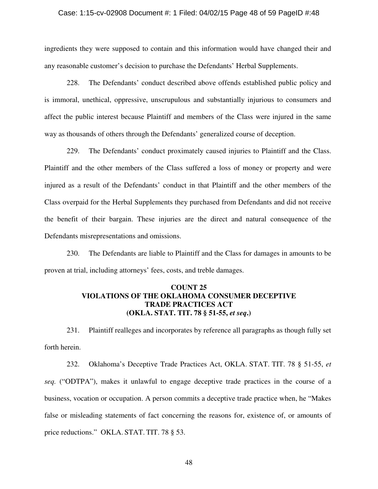### Case: 1:15-cv-02908 Document #: 1 Filed: 04/02/15 Page 48 of 59 PageID #:48

ingredients they were supposed to contain and this information would have changed their and any reasonable customer's decision to purchase the Defendants' Herbal Supplements.

228. The Defendants' conduct described above offends established public policy and is immoral, unethical, oppressive, unscrupulous and substantially injurious to consumers and affect the public interest because Plaintiff and members of the Class were injured in the same way as thousands of others through the Defendants' generalized course of deception.

229. The Defendants' conduct proximately caused injuries to Plaintiff and the Class. Plaintiff and the other members of the Class suffered a loss of money or property and were injured as a result of the Defendants' conduct in that Plaintiff and the other members of the Class overpaid for the Herbal Supplements they purchased from Defendants and did not receive the benefit of their bargain. These injuries are the direct and natural consequence of the Defendants misrepresentations and omissions.

230. The Defendants are liable to Plaintiff and the Class for damages in amounts to be proven at trial, including attorneys' fees, costs, and treble damages.

# **COUNT 25 VIOLATIONS OF THE OKLAHOMA CONSUMER DECEPTIVE TRADE PRACTICES ACT (OKLA. STAT. TIT. 78 § 51-55,** *et seq***.)**

231. Plaintiff realleges and incorporates by reference all paragraphs as though fully set forth herein.

232. Oklahoma's Deceptive Trade Practices Act, OKLA. STAT. TIT. 78 § 51-55, *et seq.* ("ODTPA"), makes it unlawful to engage deceptive trade practices in the course of a business, vocation or occupation. A person commits a deceptive trade practice when, he "Makes false or misleading statements of fact concerning the reasons for, existence of, or amounts of price reductions." OKLA. STAT. TIT. 78 § 53.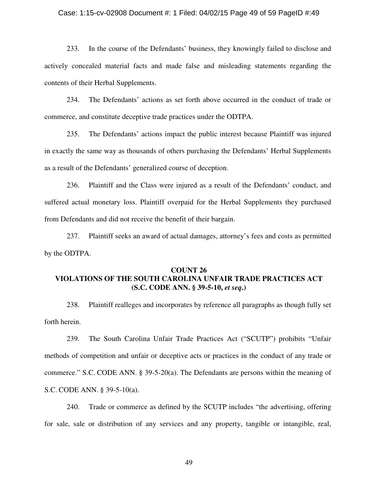### Case: 1:15-cv-02908 Document #: 1 Filed: 04/02/15 Page 49 of 59 PageID #:49

233. In the course of the Defendants' business, they knowingly failed to disclose and actively concealed material facts and made false and misleading statements regarding the contents of their Herbal Supplements.

234. The Defendants' actions as set forth above occurred in the conduct of trade or commerce, and constitute deceptive trade practices under the ODTPA.

235. The Defendants' actions impact the public interest because Plaintiff was injured in exactly the same way as thousands of others purchasing the Defendants' Herbal Supplements as a result of the Defendants' generalized course of deception.

236. Plaintiff and the Class were injured as a result of the Defendants' conduct, and suffered actual monetary loss. Plaintiff overpaid for the Herbal Supplements they purchased from Defendants and did not receive the benefit of their bargain.

237. Plaintiff seeks an award of actual damages, attorney's fees and costs as permitted by the ODTPA.

# **COUNT 26 VIOLATIONS OF THE SOUTH CAROLINA UNFAIR TRADE PRACTICES ACT (S.C. CODE ANN. § 39-5-10,** *et seq***.)**

238. Plaintiff realleges and incorporates by reference all paragraphs as though fully set forth herein.

239. The South Carolina Unfair Trade Practices Act ("SCUTP") prohibits "Unfair methods of competition and unfair or deceptive acts or practices in the conduct of any trade or commerce." S.C. CODE ANN. § 39-5-20(a). The Defendants are persons within the meaning of S.C. CODE ANN. § 39-5-10(a).

240. Trade or commerce as defined by the SCUTP includes "the advertising, offering for sale, sale or distribution of any services and any property, tangible or intangible, real,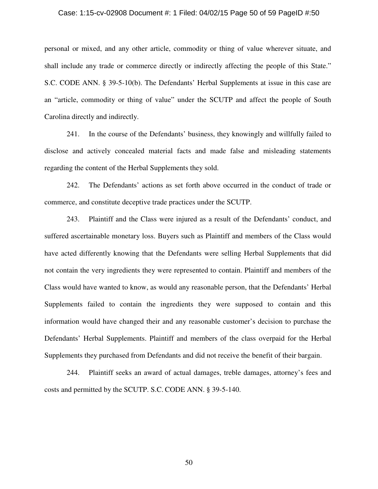#### Case: 1:15-cv-02908 Document #: 1 Filed: 04/02/15 Page 50 of 59 PageID #:50

personal or mixed, and any other article, commodity or thing of value wherever situate, and shall include any trade or commerce directly or indirectly affecting the people of this State." S.C. CODE ANN. § 39-5-10(b). The Defendants' Herbal Supplements at issue in this case are an "article, commodity or thing of value" under the SCUTP and affect the people of South Carolina directly and indirectly.

241. In the course of the Defendants' business, they knowingly and willfully failed to disclose and actively concealed material facts and made false and misleading statements regarding the content of the Herbal Supplements they sold.

242. The Defendants' actions as set forth above occurred in the conduct of trade or commerce, and constitute deceptive trade practices under the SCUTP.

243. Plaintiff and the Class were injured as a result of the Defendants' conduct, and suffered ascertainable monetary loss. Buyers such as Plaintiff and members of the Class would have acted differently knowing that the Defendants were selling Herbal Supplements that did not contain the very ingredients they were represented to contain. Plaintiff and members of the Class would have wanted to know, as would any reasonable person, that the Defendants' Herbal Supplements failed to contain the ingredients they were supposed to contain and this information would have changed their and any reasonable customer's decision to purchase the Defendants' Herbal Supplements. Plaintiff and members of the class overpaid for the Herbal Supplements they purchased from Defendants and did not receive the benefit of their bargain.

244. Plaintiff seeks an award of actual damages, treble damages, attorney's fees and costs and permitted by the SCUTP. S.C. CODE ANN. § 39-5-140.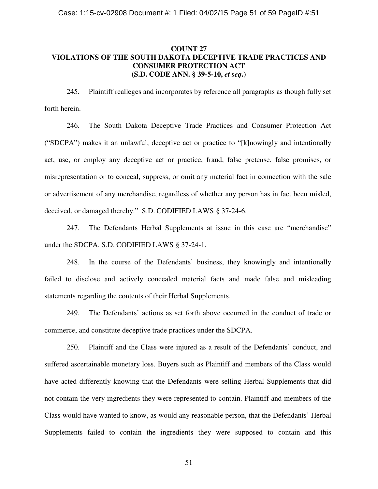# **COUNT 27 VIOLATIONS OF THE SOUTH DAKOTA DECEPTIVE TRADE PRACTICES AND CONSUMER PROTECTION ACT (S.D. CODE ANN. § 39-5-10,** *et seq***.)**

245. Plaintiff realleges and incorporates by reference all paragraphs as though fully set forth herein.

246. The South Dakota Deceptive Trade Practices and Consumer Protection Act ("SDCPA") makes it an unlawful, deceptive act or practice to "[k]nowingly and intentionally act, use, or employ any deceptive act or practice, fraud, false pretense, false promises, or misrepresentation or to conceal, suppress, or omit any material fact in connection with the sale or advertisement of any merchandise, regardless of whether any person has in fact been misled, deceived, or damaged thereby." S.D. CODIFIED LAWS § 37-24-6.

247. The Defendants Herbal Supplements at issue in this case are "merchandise" under the SDCPA. S.D. CODIFIED LAWS § 37-24-1.

248. In the course of the Defendants' business, they knowingly and intentionally failed to disclose and actively concealed material facts and made false and misleading statements regarding the contents of their Herbal Supplements.

249. The Defendants' actions as set forth above occurred in the conduct of trade or commerce, and constitute deceptive trade practices under the SDCPA.

250. Plaintiff and the Class were injured as a result of the Defendants' conduct, and suffered ascertainable monetary loss. Buyers such as Plaintiff and members of the Class would have acted differently knowing that the Defendants were selling Herbal Supplements that did not contain the very ingredients they were represented to contain. Plaintiff and members of the Class would have wanted to know, as would any reasonable person, that the Defendants' Herbal Supplements failed to contain the ingredients they were supposed to contain and this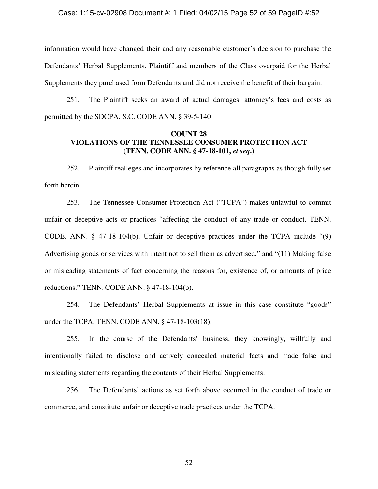### Case: 1:15-cv-02908 Document #: 1 Filed: 04/02/15 Page 52 of 59 PageID #:52

information would have changed their and any reasonable customer's decision to purchase the Defendants' Herbal Supplements. Plaintiff and members of the Class overpaid for the Herbal Supplements they purchased from Defendants and did not receive the benefit of their bargain.

251. The Plaintiff seeks an award of actual damages, attorney's fees and costs as permitted by the SDCPA. S.C. CODE ANN. § 39-5-140

## **COUNT 28 VIOLATIONS OF THE TENNESSEE CONSUMER PROTECTION ACT (TENN. CODE ANN. § 47-18-101,** *et seq***.)**

252. Plaintiff realleges and incorporates by reference all paragraphs as though fully set forth herein.

253. The Tennessee Consumer Protection Act ("TCPA") makes unlawful to commit unfair or deceptive acts or practices "affecting the conduct of any trade or conduct. TENN. CODE. ANN. § 47-18-104(b). Unfair or deceptive practices under the TCPA include "(9) Advertising goods or services with intent not to sell them as advertised," and "(11) Making false or misleading statements of fact concerning the reasons for, existence of, or amounts of price reductions." TENN. CODE ANN. § 47-18-104(b).

254. The Defendants' Herbal Supplements at issue in this case constitute "goods" under the TCPA. TENN. CODE ANN. § 47-18-103(18).

255. In the course of the Defendants' business, they knowingly, willfully and intentionally failed to disclose and actively concealed material facts and made false and misleading statements regarding the contents of their Herbal Supplements.

256. The Defendants' actions as set forth above occurred in the conduct of trade or commerce, and constitute unfair or deceptive trade practices under the TCPA.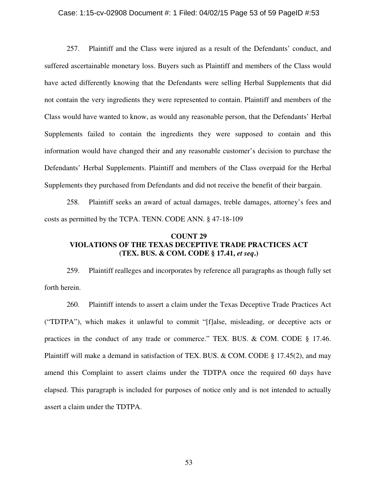### Case: 1:15-cv-02908 Document #: 1 Filed: 04/02/15 Page 53 of 59 PageID #:53

257. Plaintiff and the Class were injured as a result of the Defendants' conduct, and suffered ascertainable monetary loss. Buyers such as Plaintiff and members of the Class would have acted differently knowing that the Defendants were selling Herbal Supplements that did not contain the very ingredients they were represented to contain. Plaintiff and members of the Class would have wanted to know, as would any reasonable person, that the Defendants' Herbal Supplements failed to contain the ingredients they were supposed to contain and this information would have changed their and any reasonable customer's decision to purchase the Defendants' Herbal Supplements. Plaintiff and members of the Class overpaid for the Herbal Supplements they purchased from Defendants and did not receive the benefit of their bargain.

258. Plaintiff seeks an award of actual damages, treble damages, attorney's fees and costs as permitted by the TCPA. TENN. CODE ANN. § 47-18-109

## **COUNT 29 VIOLATIONS OF THE TEXAS DECEPTIVE TRADE PRACTICES ACT (TEX. BUS. & COM. CODE § 17.41,** *et seq***.)**

259. Plaintiff realleges and incorporates by reference all paragraphs as though fully set forth herein.

260. Plaintiff intends to assert a claim under the Texas Deceptive Trade Practices Act ("TDTPA"), which makes it unlawful to commit "[f]alse, misleading, or deceptive acts or practices in the conduct of any trade or commerce." TEX. BUS. & COM. CODE § 17.46. Plaintiff will make a demand in satisfaction of TEX. BUS. & COM. CODE § 17.45(2), and may amend this Complaint to assert claims under the TDTPA once the required 60 days have elapsed. This paragraph is included for purposes of notice only and is not intended to actually assert a claim under the TDTPA.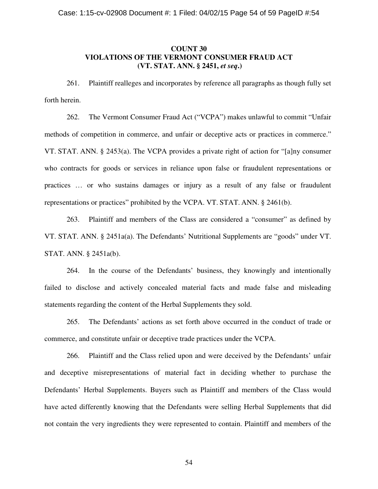# **COUNT 30 VIOLATIONS OF THE VERMONT CONSUMER FRAUD ACT (VT. STAT. ANN. § 2451,** *et seq***.)**

261. Plaintiff realleges and incorporates by reference all paragraphs as though fully set forth herein.

262. The Vermont Consumer Fraud Act ("VCPA") makes unlawful to commit "Unfair methods of competition in commerce, and unfair or deceptive acts or practices in commerce." VT. STAT. ANN. § 2453(a). The VCPA provides a private right of action for "[a]ny consumer who contracts for goods or services in reliance upon false or fraudulent representations or practices … or who sustains damages or injury as a result of any false or fraudulent representations or practices" prohibited by the VCPA. VT. STAT. ANN. § 2461(b).

263. Plaintiff and members of the Class are considered a "consumer" as defined by VT. STAT. ANN. § 2451a(a). The Defendants' Nutritional Supplements are "goods" under VT. STAT. ANN. § 2451a(b).

264. In the course of the Defendants' business, they knowingly and intentionally failed to disclose and actively concealed material facts and made false and misleading statements regarding the content of the Herbal Supplements they sold.

265. The Defendants' actions as set forth above occurred in the conduct of trade or commerce, and constitute unfair or deceptive trade practices under the VCPA.

266. Plaintiff and the Class relied upon and were deceived by the Defendants' unfair and deceptive misrepresentations of material fact in deciding whether to purchase the Defendants' Herbal Supplements. Buyers such as Plaintiff and members of the Class would have acted differently knowing that the Defendants were selling Herbal Supplements that did not contain the very ingredients they were represented to contain. Plaintiff and members of the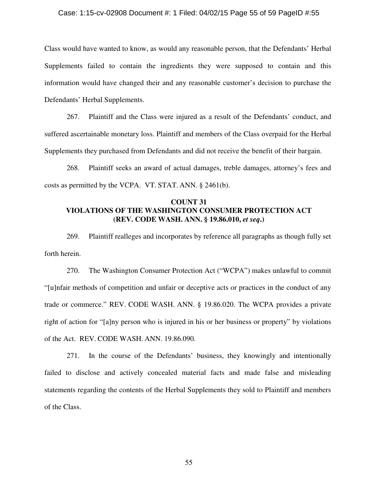### Case: 1:15-cv-02908 Document #: 1 Filed: 04/02/15 Page 55 of 59 PageID #:55

Class would have wanted to know, as would any reasonable person, that the Defendants' Herbal Supplements failed to contain the ingredients they were supposed to contain and this information would have changed their and any reasonable customer's decision to purchase the Defendants' Herbal Supplements.

267. Plaintiff and the Class were injured as a result of the Defendants' conduct, and suffered ascertainable monetary loss. Plaintiff and members of the Class overpaid for the Herbal Supplements they purchased from Defendants and did not receive the benefit of their bargain.

268. Plaintiff seeks an award of actual damages, treble damages, attorney's fees and costs as permitted by the VCPA. VT. STAT. ANN. § 2461(b).

## **COUNT 31 VIOLATIONS OF THE WASHINGTON CONSUMER PROTECTION ACT (REV. CODE WASH. ANN. § 19.86.010,** *et seq***.)**

269. Plaintiff realleges and incorporates by reference all paragraphs as though fully set forth herein.

270. The Washington Consumer Protection Act ("WCPA") makes unlawful to commit "[u]nfair methods of competition and unfair or deceptive acts or practices in the conduct of any trade or commerce." REV. CODE WASH. ANN. § 19.86.020. The WCPA provides a private right of action for "[a]ny person who is injured in his or her business or property" by violations of the Act. REV. CODE WASH. ANN. 19.86.090.

271. In the course of the Defendants' business, they knowingly and intentionally failed to disclose and actively concealed material facts and made false and misleading statements regarding the contents of the Herbal Supplements they sold to Plaintiff and members of the Class.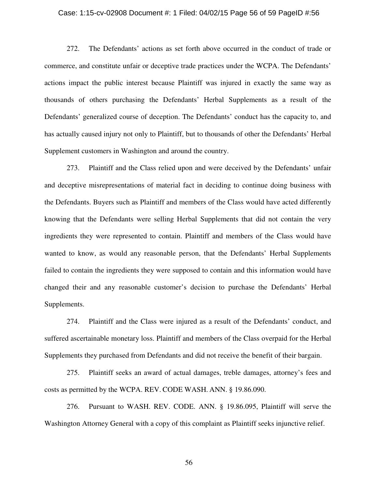#### Case: 1:15-cv-02908 Document #: 1 Filed: 04/02/15 Page 56 of 59 PageID #:56

272. The Defendants' actions as set forth above occurred in the conduct of trade or commerce, and constitute unfair or deceptive trade practices under the WCPA. The Defendants' actions impact the public interest because Plaintiff was injured in exactly the same way as thousands of others purchasing the Defendants' Herbal Supplements as a result of the Defendants' generalized course of deception. The Defendants' conduct has the capacity to, and has actually caused injury not only to Plaintiff, but to thousands of other the Defendants' Herbal Supplement customers in Washington and around the country.

273. Plaintiff and the Class relied upon and were deceived by the Defendants' unfair and deceptive misrepresentations of material fact in deciding to continue doing business with the Defendants. Buyers such as Plaintiff and members of the Class would have acted differently knowing that the Defendants were selling Herbal Supplements that did not contain the very ingredients they were represented to contain. Plaintiff and members of the Class would have wanted to know, as would any reasonable person, that the Defendants' Herbal Supplements failed to contain the ingredients they were supposed to contain and this information would have changed their and any reasonable customer's decision to purchase the Defendants' Herbal Supplements.

274. Plaintiff and the Class were injured as a result of the Defendants' conduct, and suffered ascertainable monetary loss. Plaintiff and members of the Class overpaid for the Herbal Supplements they purchased from Defendants and did not receive the benefit of their bargain.

275. Plaintiff seeks an award of actual damages, treble damages, attorney's fees and costs as permitted by the WCPA. REV. CODE WASH. ANN. § 19.86.090.

276. Pursuant to WASH. REV. CODE. ANN. § 19.86.095, Plaintiff will serve the Washington Attorney General with a copy of this complaint as Plaintiff seeks injunctive relief.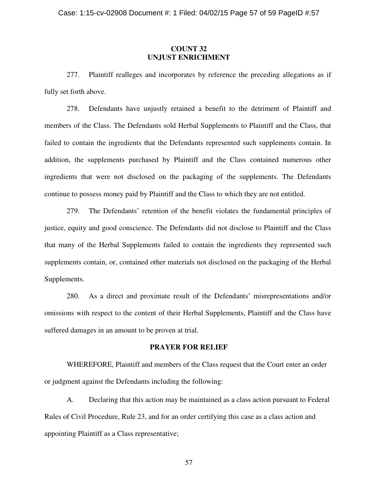## **COUNT 32 UNJUST ENRICHMENT**

277. Plaintiff realleges and incorporates by reference the preceding allegations as if fully set forth above.

278. Defendants have unjustly retained a benefit to the detriment of Plaintiff and members of the Class. The Defendants sold Herbal Supplements to Plaintiff and the Class, that failed to contain the ingredients that the Defendants represented such supplements contain. In addition, the supplements purchased by Plaintiff and the Class contained numerous other ingredients that were not disclosed on the packaging of the supplements. The Defendants continue to possess money paid by Plaintiff and the Class to which they are not entitled.

279. The Defendants' retention of the benefit violates the fundamental principles of justice, equity and good conscience. The Defendants did not disclose to Plaintiff and the Class that many of the Herbal Supplements failed to contain the ingredients they represented such supplements contain, or, contained other materials not disclosed on the packaging of the Herbal Supplements.

280. As a direct and proximate result of the Defendants' misrepresentations and/or omissions with respect to the content of their Herbal Supplements, Plaintiff and the Class have suffered damages in an amount to be proven at trial.

## **PRAYER FOR RELIEF**

WHEREFORE, Plaintiff and members of the Class request that the Court enter an order or judgment against the Defendants including the following:

A. Declaring that this action may be maintained as a class action pursuant to Federal Rules of Civil Procedure, Rule 23, and for an order certifying this case as a class action and appointing Plaintiff as a Class representative;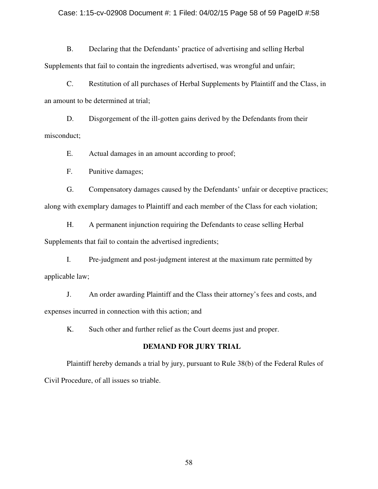### Case: 1:15-cv-02908 Document #: 1 Filed: 04/02/15 Page 58 of 59 PageID #:58

B. Declaring that the Defendants' practice of advertising and selling Herbal Supplements that fail to contain the ingredients advertised, was wrongful and unfair;

C. Restitution of all purchases of Herbal Supplements by Plaintiff and the Class, in an amount to be determined at trial;

D. Disgorgement of the ill-gotten gains derived by the Defendants from their misconduct;

E. Actual damages in an amount according to proof;

F. Punitive damages;

G. Compensatory damages caused by the Defendants' unfair or deceptive practices; along with exemplary damages to Plaintiff and each member of the Class for each violation;

H. A permanent injunction requiring the Defendants to cease selling Herbal Supplements that fail to contain the advertised ingredients;

I. Pre-judgment and post-judgment interest at the maximum rate permitted by applicable law;

J. An order awarding Plaintiff and the Class their attorney's fees and costs, and expenses incurred in connection with this action; and

K. Such other and further relief as the Court deems just and proper.

## **DEMAND FOR JURY TRIAL**

Plaintiff hereby demands a trial by jury, pursuant to Rule 38(b) of the Federal Rules of Civil Procedure, of all issues so triable.